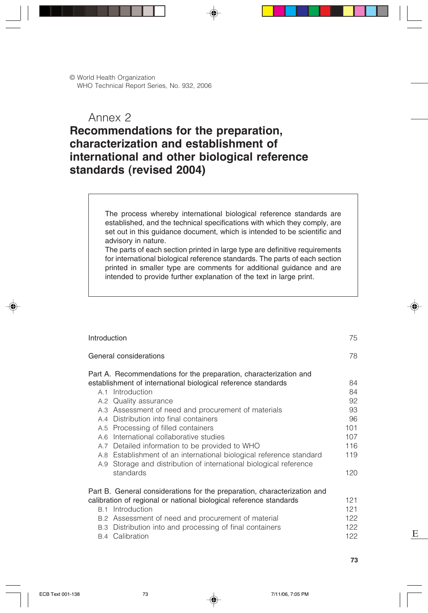© World Health Organization WHO Technical Report Series, No. 932, 2006

## Annex 2

# **Recommendations for the preparation, characterization and establishment of international and other biological reference standards (revised 2004)**

The process whereby international biological reference standards are established, and the technical specifications with which they comply, are set out in this guidance document, which is intended to be scientific and advisory in nature.

The parts of each section printed in large type are definitive requirements for international biological reference standards. The parts of each section printed in smaller type are comments for additional guidance and are intended to provide further explanation of the text in large print.

| Introduction                                                             | 75  |
|--------------------------------------------------------------------------|-----|
| General considerations                                                   | 78  |
| Part A. Recommendations for the preparation, characterization and        |     |
| establishment of international biological reference standards            | 84  |
| A.1 Introduction                                                         | 84  |
| A.2 Quality assurance                                                    | 92  |
| A.3 Assessment of need and procurement of materials                      | 93  |
| A.4 Distribution into final containers                                   | 96  |
| A.5 Processing of filled containers                                      | 101 |
| International collaborative studies<br>A.6                               | 107 |
| A.7 Detailed information to be provided to WHO                           | 116 |
| A.8 Establishment of an international biological reference standard      | 119 |
| A.9 Storage and distribution of international biological reference       |     |
| standards                                                                | 120 |
|                                                                          |     |
| Part B. General considerations for the preparation, characterization and |     |
| calibration of regional or national biological reference standards       | 121 |
| B.1 Introduction                                                         | 121 |
| B.2 Assessment of need and procurement of material                       | 122 |
| B.3 Distribution into and processing of final containers                 | 122 |
| <b>B.4</b> Calibration                                                   | 122 |
|                                                                          |     |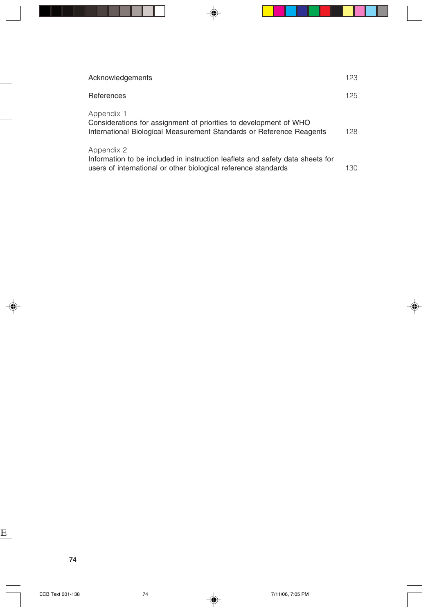| Acknowledgements                                                                                                                                              | 123  |
|---------------------------------------------------------------------------------------------------------------------------------------------------------------|------|
| References                                                                                                                                                    | 125  |
| Appendix 1<br>Considerations for assignment of priorities to development of WHO<br>International Biological Measurement Standards or Reference Reagents       | 128  |
| Appendix 2<br>Information to be included in instruction leaflets and safety data sheets for<br>users of international or other biological reference standards | 130. |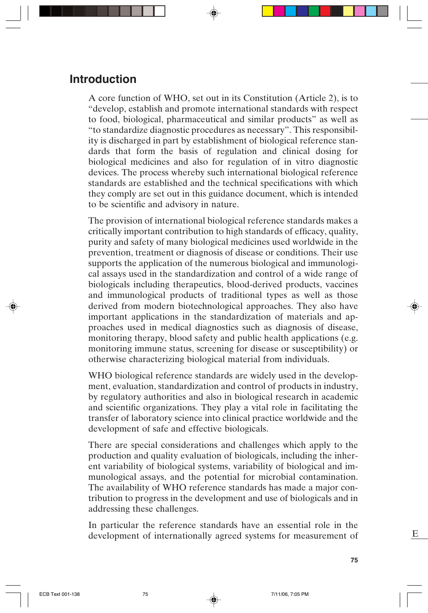# **Introduction**

A core function of WHO, set out in its Constitution (Article 2), is to "develop, establish and promote international standards with respect to food, biological, pharmaceutical and similar products" as well as "to standardize diagnostic procedures as necessary". This responsibility is discharged in part by establishment of biological reference standards that form the basis of regulation and clinical dosing for biological medicines and also for regulation of in vitro diagnostic devices. The process whereby such international biological reference standards are established and the technical specifications with which they comply are set out in this guidance document, which is intended to be scientific and advisory in nature.

The provision of international biological reference standards makes a critically important contribution to high standards of efficacy, quality, purity and safety of many biological medicines used worldwide in the prevention, treatment or diagnosis of disease or conditions. Their use supports the application of the numerous biological and immunological assays used in the standardization and control of a wide range of biologicals including therapeutics, blood-derived products, vaccines and immunological products of traditional types as well as those derived from modern biotechnological approaches. They also have important applications in the standardization of materials and approaches used in medical diagnostics such as diagnosis of disease, monitoring therapy, blood safety and public health applications (e.g. monitoring immune status, screening for disease or susceptibility) or otherwise characterizing biological material from individuals.

WHO biological reference standards are widely used in the development, evaluation, standardization and control of products in industry, by regulatory authorities and also in biological research in academic and scientific organizations. They play a vital role in facilitating the transfer of laboratory science into clinical practice worldwide and the development of safe and effective biologicals.

There are special considerations and challenges which apply to the production and quality evaluation of biologicals, including the inherent variability of biological systems, variability of biological and immunological assays, and the potential for microbial contamination. The availability of WHO reference standards has made a major contribution to progress in the development and use of biologicals and in addressing these challenges.

In particular the reference standards have an essential role in the development of internationally agreed systems for measurement of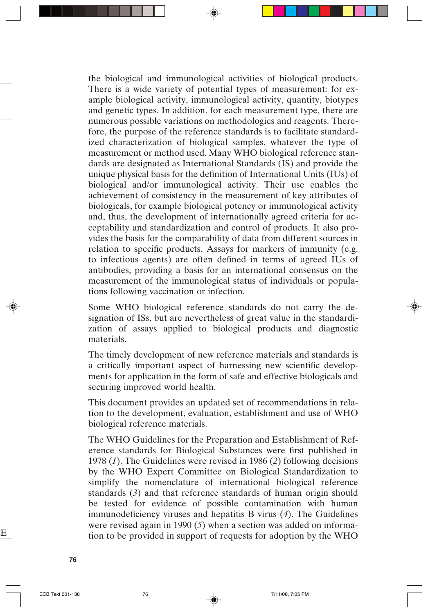the biological and immunological activities of biological products. There is a wide variety of potential types of measurement: for example biological activity, immunological activity, quantity, biotypes and genetic types. In addition, for each measurement type, there are numerous possible variations on methodologies and reagents. Therefore, the purpose of the reference standards is to facilitate standardized characterization of biological samples, whatever the type of measurement or method used. Many WHO biological reference standards are designated as International Standards (IS) and provide the unique physical basis for the definition of International Units (IUs) of biological and/or immunological activity. Their use enables the achievement of consistency in the measurement of key attributes of biologicals, for example biological potency or immunological activity and, thus, the development of internationally agreed criteria for acceptability and standardization and control of products. It also provides the basis for the comparability of data from different sources in relation to specific products. Assays for markers of immunity (e.g. to infectious agents) are often defined in terms of agreed IUs of antibodies, providing a basis for an international consensus on the measurement of the immunological status of individuals or populations following vaccination or infection.

Some WHO biological reference standards do not carry the designation of ISs, but are nevertheless of great value in the standardization of assays applied to biological products and diagnostic materials.

The timely development of new reference materials and standards is a critically important aspect of harnessing new scientific developments for application in the form of safe and effective biologicals and securing improved world health.

This document provides an updated set of recommendations in relation to the development, evaluation, establishment and use of WHO biological reference materials.

The WHO Guidelines for the Preparation and Establishment of Reference standards for Biological Substances were first published in 1978 (*1*). The Guidelines were revised in 1986 (*2*) following decisions by the WHO Expert Committee on Biological Standardization to simplify the nomenclature of international biological reference standards (*3*) and that reference standards of human origin should be tested for evidence of possible contamination with human immunodeficiency viruses and hepatitis B virus (*4*). The Guidelines were revised again in 1990 (*5*) when a section was added on information to be provided in support of requests for adoption by the WHO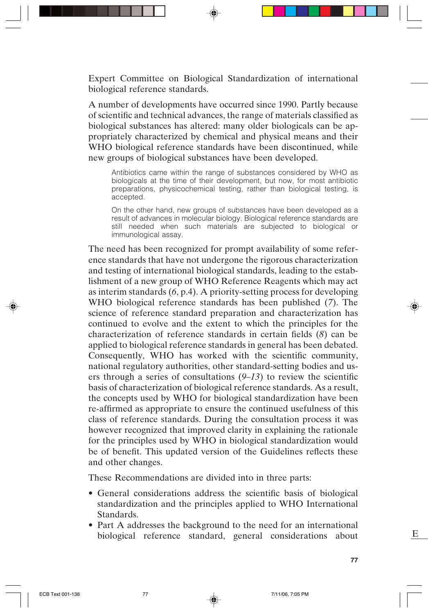Expert Committee on Biological Standardization of international biological reference standards.

A number of developments have occurred since 1990. Partly because of scientific and technical advances, the range of materials classified as biological substances has altered: many older biologicals can be appropriately characterized by chemical and physical means and their WHO biological reference standards have been discontinued, while new groups of biological substances have been developed.

Antibiotics came within the range of substances considered by WHO as biologicals at the time of their development, but now, for most antibiotic preparations, physicochemical testing, rather than biological testing, is accepted.

On the other hand, new groups of substances have been developed as a result of advances in molecular biology. Biological reference standards are still needed when such materials are subjected to biological or immunological assay.

The need has been recognized for prompt availability of some reference standards that have not undergone the rigorous characterization and testing of international biological standards, leading to the establishment of a new group of WHO Reference Reagents which may act as interim standards (*6*, p.4). A priority-setting process for developing WHO biological reference standards has been published (*7*). The science of reference standard preparation and characterization has continued to evolve and the extent to which the principles for the characterization of reference standards in certain fields (*8*) can be applied to biological reference standards in general has been debated. Consequently, WHO has worked with the scientific community, national regulatory authorities, other standard-setting bodies and users through a series of consultations  $(9-13)$  to review the scientific basis of characterization of biological reference standards. As a result, the concepts used by WHO for biological standardization have been re-affirmed as appropriate to ensure the continued usefulness of this class of reference standards. During the consultation process it was however recognized that improved clarity in explaining the rationale for the principles used by WHO in biological standardization would be of benefit. This updated version of the Guidelines reflects these and other changes.

These Recommendations are divided into in three parts:

- General considerations address the scientific basis of biological standardization and the principles applied to WHO International Standards.
- Part A addresses the background to the need for an international biological reference standard, general considerations about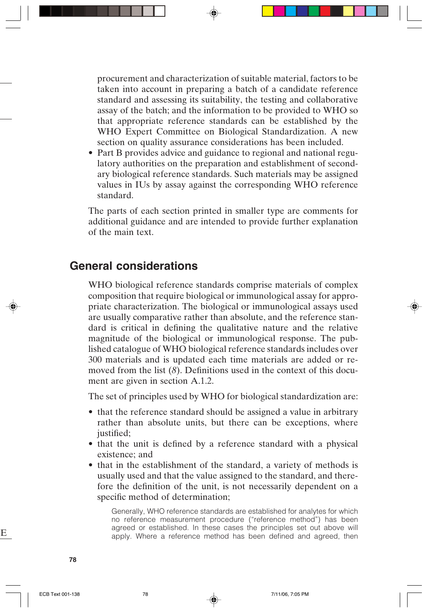procurement and characterization of suitable material, factors to be taken into account in preparing a batch of a candidate reference standard and assessing its suitability, the testing and collaborative assay of the batch; and the information to be provided to WHO so that appropriate reference standards can be established by the WHO Expert Committee on Biological Standardization. A new section on quality assurance considerations has been included.

• Part B provides advice and guidance to regional and national regulatory authorities on the preparation and establishment of secondary biological reference standards. Such materials may be assigned values in IUs by assay against the corresponding WHO reference standard.

The parts of each section printed in smaller type are comments for additional guidance and are intended to provide further explanation of the main text.

# **General considerations**

WHO biological reference standards comprise materials of complex composition that require biological or immunological assay for appropriate characterization. The biological or immunological assays used are usually comparative rather than absolute, and the reference standard is critical in defining the qualitative nature and the relative magnitude of the biological or immunological response. The published catalogue of WHO biological reference standards includes over 300 materials and is updated each time materials are added or removed from the list (*8*). Definitions used in the context of this document are given in section A.1.2.

The set of principles used by WHO for biological standardization are:

- that the reference standard should be assigned a value in arbitrary rather than absolute units, but there can be exceptions, where justified;
- that the unit is defined by a reference standard with a physical existence; and
- that in the establishment of the standard, a variety of methods is usually used and that the value assigned to the standard, and therefore the definition of the unit, is not necessarily dependent on a specific method of determination;

Generally, WHO reference standards are established for analytes for which no reference measurement procedure ("reference method") has been agreed or established. In these cases the principles set out above will apply. Where a reference method has been defined and agreed, then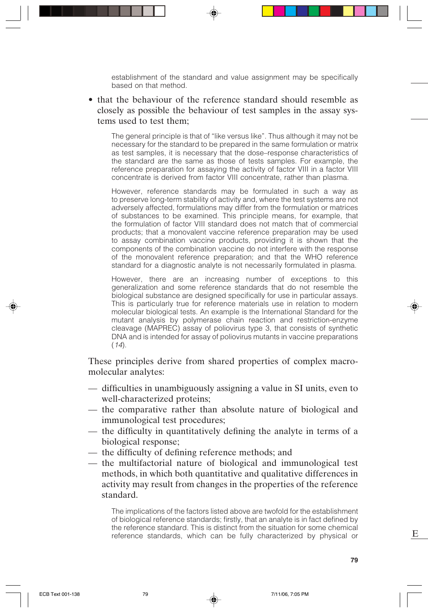establishment of the standard and value assignment may be specifically based on that method.

• that the behaviour of the reference standard should resemble as closely as possible the behaviour of test samples in the assay systems used to test them;

The general principle is that of "like versus like". Thus although it may not be necessary for the standard to be prepared in the same formulation or matrix as test samples, it is necessary that the dose–response characteristics of the standard are the same as those of tests samples. For example, the reference preparation for assaying the activity of factor VIII in a factor VIII concentrate is derived from factor VIII concentrate, rather than plasma.

However, reference standards may be formulated in such a way as to preserve long-term stability of activity and, where the test systems are not adversely affected, formulations may differ from the formulation or matrices of substances to be examined. This principle means, for example, that the formulation of factor VIII standard does not match that of commercial products; that a monovalent vaccine reference preparation may be used to assay combination vaccine products, providing it is shown that the components of the combination vaccine do not interfere with the response of the monovalent reference preparation; and that the WHO reference standard for a diagnostic analyte is not necessarily formulated in plasma.

However, there are an increasing number of exceptions to this generalization and some reference standards that do not resemble the biological substance are designed specifically for use in particular assays. This is particularly true for reference materials use in relation to modern molecular biological tests. An example is the International Standard for the mutant analysis by polymerase chain reaction and restriction-enzyme cleavage (MAPREC) assay of poliovirus type 3, that consists of synthetic DNA and is intended for assay of poliovirus mutants in vaccine preparations  $(14).$ 

These principles derive from shared properties of complex macromolecular analytes:

- difficulties in unambiguously assigning a value in SI units, even to well-characterized proteins;
- the comparative rather than absolute nature of biological and immunological test procedures;
- the difficulty in quantitatively defining the analyte in terms of a biological response;
- the difficulty of defining reference methods; and
- the multifactorial nature of biological and immunological test methods, in which both quantitative and qualitative differences in activity may result from changes in the properties of the reference standard.

The implications of the factors listed above are twofold for the establishment of biological reference standards; firstly, that an analyte is in fact defined by the reference standard. This is distinct from the situation for some chemical reference standards, which can be fully characterized by physical or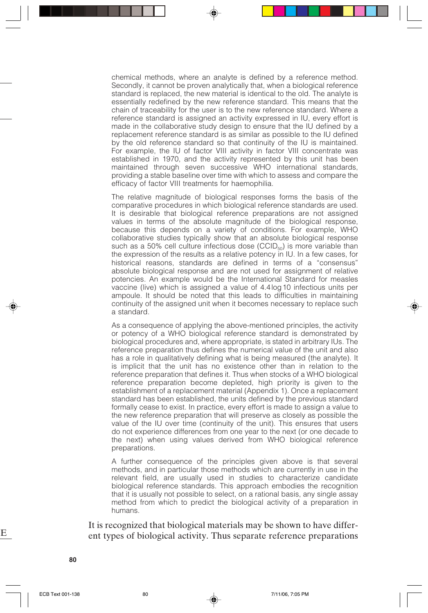chemical methods, where an analyte is defined by a reference method. Secondly, it cannot be proven analytically that, when a biological reference standard is replaced, the new material is identical to the old. The analyte is essentially redefined by the new reference standard. This means that the chain of traceability for the user is to the new reference standard. Where a reference standard is assigned an activity expressed in IU, every effort is made in the collaborative study design to ensure that the IU defined by a replacement reference standard is as similar as possible to the IU defined by the old reference standard so that continuity of the IU is maintained. For example, the IU of factor VIII activity in factor VIII concentrate was established in 1970, and the activity represented by this unit has been maintained through seven successive WHO international standards, providing a stable baseline over time with which to assess and compare the efficacy of factor VIII treatments for haemophilia.

The relative magnitude of biological responses forms the basis of the comparative procedures in which biological reference standards are used. It is desirable that biological reference preparations are not assigned values in terms of the absolute magnitude of the biological response, because this depends on a variety of conditions. For example, WHO collaborative studies typically show that an absolute biological response such as a 50% cell culture infectious dose (CCID $_{50}$ ) is more variable than the expression of the results as a relative potency in IU. In a few cases, for historical reasons, standards are defined in terms of a "consensus" absolute biological response and are not used for assignment of relative potencies. An example would be the International Standard for measles vaccine (live) which is assigned a value of 4.4log10 infectious units per ampoule. It should be noted that this leads to difficulties in maintaining continuity of the assigned unit when it becomes necessary to replace such a standard.

As a consequence of applying the above-mentioned principles, the activity or potency of a WHO biological reference standard is demonstrated by biological procedures and, where appropriate, is stated in arbitrary IUs. The reference preparation thus defines the numerical value of the unit and also has a role in qualitatively defining what is being measured (the analyte). It is implicit that the unit has no existence other than in relation to the reference preparation that defines it. Thus when stocks of a WHO biological reference preparation become depleted, high priority is given to the establishment of a replacement material (Appendix 1). Once a replacement standard has been established, the units defined by the previous standard formally cease to exist. In practice, every effort is made to assign a value to the new reference preparation that will preserve as closely as possible the value of the IU over time (continuity of the unit). This ensures that users do not experience differences from one year to the next (or one decade to the next) when using values derived from WHO biological reference preparations.

A further consequence of the principles given above is that several methods, and in particular those methods which are currently in use in the relevant field, are usually used in studies to characterize candidate biological reference standards. This approach embodies the recognition that it is usually not possible to select, on a rational basis, any single assay method from which to predict the biological activity of a preparation in humans.

It is recognized that biological materials may be shown to have different types of biological activity. Thus separate reference preparations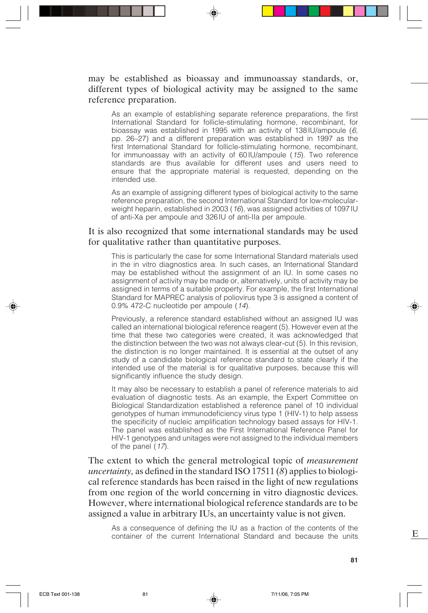may be established as bioassay and immunoassay standards, or, different types of biological activity may be assigned to the same reference preparation.

As an example of establishing separate reference preparations, the first International Standard for follicle-stimulating hormone, recombinant, for bioassay was established in 1995 with an activity of 138IU/ampoule (6, pp. 26–27) and a different preparation was established in 1997 as the first International Standard for follicle-stimulating hormone, recombinant, for immunoassay with an activity of 60IU/ampoule (15). Two reference standards are thus available for different uses and users need to ensure that the appropriate material is requested, depending on the intended use.

As an example of assigning different types of biological activity to the same reference preparation, the second International Standard for low-molecularweight heparin, established in 2003 (16), was assigned activities of 1097IU of anti-Xa per ampoule and 326IU of anti-IIa per ampoule.

#### It is also recognized that some international standards may be used for qualitative rather than quantitative purposes.

This is particularly the case for some International Standard materials used in the in vitro diagnostics area. In such cases, an International Standard may be established without the assignment of an IU. In some cases no assignment of activity may be made or, alternatively, units of activity may be assigned in terms of a suitable property. For example, the first International Standard for MAPREC analysis of poliovirus type 3 is assigned a content of 0.9% 472-C nucleotide per ampoule (14).

Previously, a reference standard established without an assigned IU was called an international biological reference reagent (5). However even at the time that these two categories were created, it was acknowledged that the distinction between the two was not always clear-cut (5). In this revision, the distinction is no longer maintained. It is essential at the outset of any study of a candidate biological reference standard to state clearly if the intended use of the material is for qualitative purposes, because this will significantly influence the study design.

It may also be necessary to establish a panel of reference materials to aid evaluation of diagnostic tests. As an example, the Expert Committee on Biological Standardization established a reference panel of 10 individual genotypes of human immunodeficiency virus type 1 (HIV-1) to help assess the specificity of nucleic amplification technology based assays for HIV-1. The panel was established as the First International Reference Panel for HIV-1 genotypes and unitages were not assigned to the individual members of the panel (17).

The extent to which the general metrological topic of *measurement uncertainty,* as defined in the standard ISO 17511 (*8*) applies to biological reference standards has been raised in the light of new regulations from one region of the world concerning in vitro diagnostic devices. However, where international biological reference standards are to be assigned a value in arbitrary IUs, an uncertainty value is not given.

As a consequence of defining the IU as a fraction of the contents of the container of the current International Standard and because the units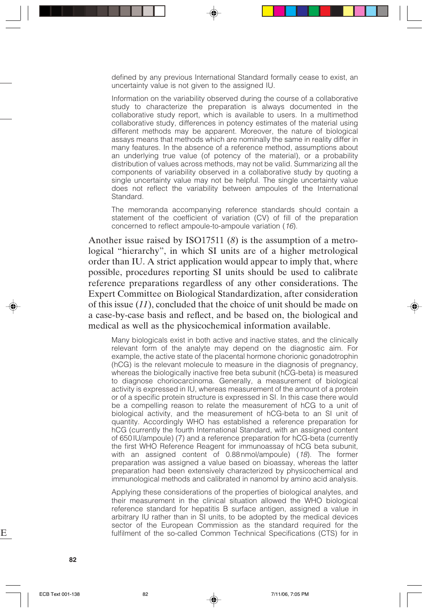defined by any previous International Standard formally cease to exist, an uncertainty value is not given to the assigned IU.

Information on the variability observed during the course of a collaborative study to characterize the preparation is always documented in the collaborative study report, which is available to users. In a multimethod collaborative study, differences in potency estimates of the material using different methods may be apparent. Moreover, the nature of biological assays means that methods which are nominally the same in reality differ in many features. In the absence of a reference method, assumptions about an underlying true value (of potency of the material), or a probability distribution of values across methods, may not be valid. Summarizing all the components of variability observed in a collaborative study by quoting a single uncertainty value may not be helpful. The single uncertainty value does not reflect the variability between ampoules of the International Standard.

The memoranda accompanying reference standards should contain a statement of the coefficient of variation (CV) of fill of the preparation concerned to reflect ampoule-to-ampoule variation (16).

Another issue raised by ISO17511 (*8*) is the assumption of a metrological "hierarchy", in which SI units are of a higher metrological order than IU. A strict application would appear to imply that, where possible, procedures reporting SI units should be used to calibrate reference preparations regardless of any other considerations. The Expert Committee on Biological Standardization, after consideration of this issue (*11*), concluded that the choice of unit should be made on a case-by-case basis and reflect, and be based on, the biological and medical as well as the physicochemical information available.

Many biologicals exist in both active and inactive states, and the clinically relevant form of the analyte may depend on the diagnostic aim. For example, the active state of the placental hormone chorionic gonadotrophin (hCG) is the relevant molecule to measure in the diagnosis of pregnancy, whereas the biologically inactive free beta subunit (hCG-beta) is measured to diagnose choriocarcinoma. Generally, a measurement of biological activity is expressed in IU, whereas measurement of the amount of a protein or of a specific protein structure is expressed in SI. In this case there would be a compelling reason to relate the measurement of hCG to a unit of biological activity, and the measurement of hCG-beta to an SI unit of quantity. Accordingly WHO has established a reference preparation for hCG (currently the fourth International Standard, with an assigned content of 650IU/ampoule) (7) and a reference preparation for hCG-beta (currently the first WHO Reference Reagent for immunoassay of hCG beta subunit, with an assigned content of 0.88nmol/ampoule) (18). The former preparation was assigned a value based on bioassay, whereas the latter preparation had been extensively characterized by physicochemical and immunological methods and calibrated in nanomol by amino acid analysis.

Applying these considerations of the properties of biological analytes, and their measurement in the clinical situation allowed the WHO biological reference standard for hepatitis B surface antigen, assigned a value in arbitrary IU rather than in SI units, to be adopted by the medical devices sector of the European Commission as the standard required for the fulfilment of the so-called Common Technical Specifications (CTS) for in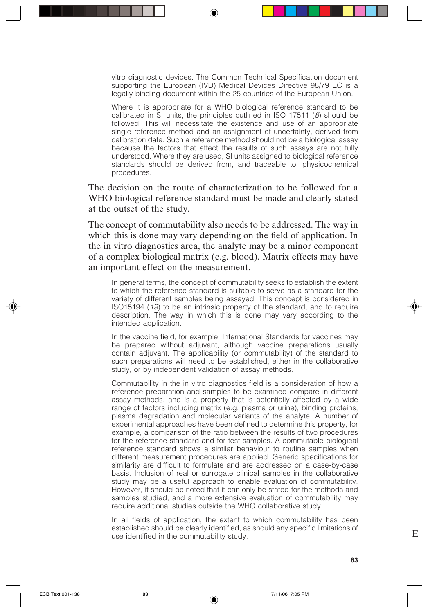vitro diagnostic devices. The Common Technical Specification document supporting the European (IVD) Medical Devices Directive 98/79 EC is a legally binding document within the 25 countries of the European Union.

Where it is appropriate for a WHO biological reference standard to be calibrated in SI units, the principles outlined in ISO 17511  $(8)$  should be followed. This will necessitate the existence and use of an appropriate single reference method and an assignment of uncertainty, derived from calibration data. Such a reference method should not be a biological assay because the factors that affect the results of such assays are not fully understood. Where they are used, SI units assigned to biological reference standards should be derived from, and traceable to, physicochemical procedures.

The decision on the route of characterization to be followed for a WHO biological reference standard must be made and clearly stated at the outset of the study.

The concept of commutability also needs to be addressed. The way in which this is done may vary depending on the field of application. In the in vitro diagnostics area, the analyte may be a minor component of a complex biological matrix (e.g. blood). Matrix effects may have an important effect on the measurement.

In general terms, the concept of commutability seeks to establish the extent to which the reference standard is suitable to serve as a standard for the variety of different samples being assayed. This concept is considered in ISO15194 (19) to be an intrinsic property of the standard, and to require description. The way in which this is done may vary according to the intended application.

In the vaccine field, for example, International Standards for vaccines may be prepared without adjuvant, although vaccine preparations usually contain adjuvant. The applicability (or commutability) of the standard to such preparations will need to be established, either in the collaborative study, or by independent validation of assay methods.

Commutability in the in vitro diagnostics field is a consideration of how a reference preparation and samples to be examined compare in different assay methods, and is a property that is potentially affected by a wide range of factors including matrix (e.g. plasma or urine), binding proteins, plasma degradation and molecular variants of the analyte. A number of experimental approaches have been defined to determine this property, for example, a comparison of the ratio between the results of two procedures for the reference standard and for test samples. A commutable biological reference standard shows a similar behaviour to routine samples when different measurement procedures are applied. Generic specifications for similarity are difficult to formulate and are addressed on a case-by-case basis. Inclusion of real or surrogate clinical samples in the collaborative study may be a useful approach to enable evaluation of commutability. However, it should be noted that it can only be stated for the methods and samples studied, and a more extensive evaluation of commutability may require additional studies outside the WHO collaborative study.

In all fields of application, the extent to which commutability has been established should be clearly identified, as should any specific limitations of use identified in the commutability study.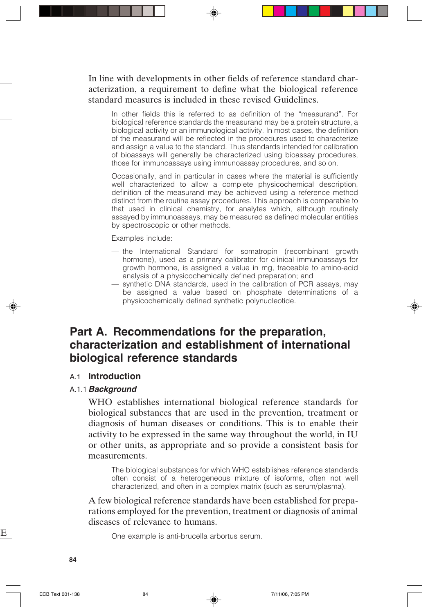In line with developments in other fields of reference standard characterization, a requirement to define what the biological reference standard measures is included in these revised Guidelines.

In other fields this is referred to as definition of the "measurand". For biological reference standards the measurand may be a protein structure, a biological activity or an immunological activity. In most cases, the definition of the measurand will be reflected in the procedures used to characterize and assign a value to the standard. Thus standards intended for calibration of bioassays will generally be characterized using bioassay procedures, those for immunoassays using immunoassay procedures, and so on.

Occasionally, and in particular in cases where the material is sufficiently well characterized to allow a complete physicochemical description, definition of the measurand may be achieved using a reference method distinct from the routine assay procedures. This approach is comparable to that used in clinical chemistry, for analytes which, although routinely assayed by immunoassays, may be measured as defined molecular entities by spectroscopic or other methods.

Examples include:

- the International Standard for somatropin (recombinant growth hormone), used as a primary calibrator for clinical immunoassays for growth hormone, is assigned a value in mg, traceable to amino-acid analysis of a physicochemically defined preparation; and
- synthetic DNA standards, used in the calibration of PCR assays, may be assigned a value based on phosphate determinations of a physicochemically defined synthetic polynucleotide.

# **Part A. Recommendations for the preparation, characterization and establishment of international biological reference standards**

## A.1 **Introduction**

## A.1.1 **Background**

WHO establishes international biological reference standards for biological substances that are used in the prevention, treatment or diagnosis of human diseases or conditions. This is to enable their activity to be expressed in the same way throughout the world, in IU or other units, as appropriate and so provide a consistent basis for measurements.

The biological substances for which WHO establishes reference standards often consist of a heterogeneous mixture of isoforms, often not well characterized, and often in a complex matrix (such as serum/plasma).

A few biological reference standards have been established for preparations employed for the prevention, treatment or diagnosis of animal diseases of relevance to humans.

One example is anti-brucella arbortus serum.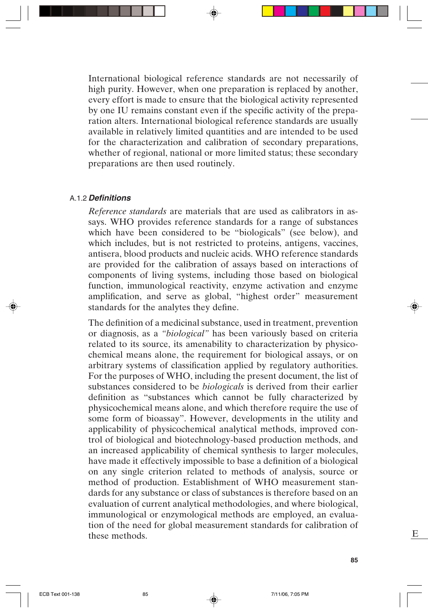International biological reference standards are not necessarily of high purity. However, when one preparation is replaced by another, every effort is made to ensure that the biological activity represented by one IU remains constant even if the specific activity of the preparation alters. International biological reference standards are usually available in relatively limited quantities and are intended to be used for the characterization and calibration of secondary preparations, whether of regional, national or more limited status; these secondary preparations are then used routinely.

#### A.1.2 **Definitions**

*Reference standards* are materials that are used as calibrators in assays. WHO provides reference standards for a range of substances which have been considered to be "biologicals" (see below), and which includes, but is not restricted to proteins, antigens, vaccines, antisera, blood products and nucleic acids. WHO reference standards are provided for the calibration of assays based on interactions of components of living systems, including those based on biological function, immunological reactivity, enzyme activation and enzyme amplification, and serve as global, "highest order" measurement standards for the analytes they define.

The definition of a medicinal substance, used in treatment, prevention or diagnosis, as a *"biological"* has been variously based on criteria related to its source, its amenability to characterization by physicochemical means alone, the requirement for biological assays, or on arbitrary systems of classification applied by regulatory authorities. For the purposes of WHO, including the present document, the list of substances considered to be *biologicals* is derived from their earlier definition as "substances which cannot be fully characterized by physicochemical means alone, and which therefore require the use of some form of bioassay". However, developments in the utility and applicability of physicochemical analytical methods, improved control of biological and biotechnology-based production methods, and an increased applicability of chemical synthesis to larger molecules, have made it effectively impossible to base a definition of a biological on any single criterion related to methods of analysis, source or method of production. Establishment of WHO measurement standards for any substance or class of substances is therefore based on an evaluation of current analytical methodologies, and where biological, immunological or enzymological methods are employed, an evaluation of the need for global measurement standards for calibration of these methods.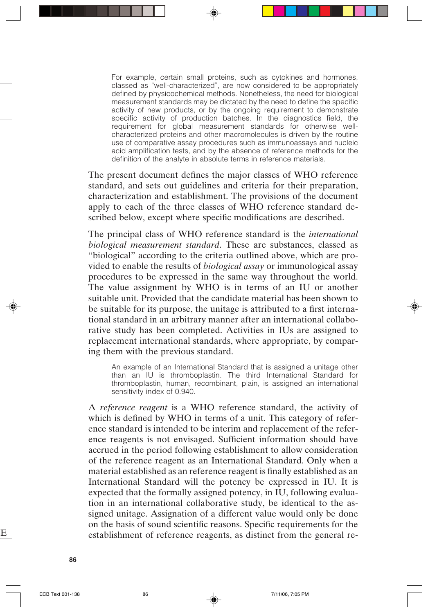For example, certain small proteins, such as cytokines and hormones, classed as "well-characterized", are now considered to be appropriately defined by physicochemical methods. Nonetheless, the need for biological measurement standards may be dictated by the need to define the specific activity of new products, or by the ongoing requirement to demonstrate specific activity of production batches. In the diagnostics field, the requirement for global measurement standards for otherwise wellcharacterized proteins and other macromolecules is driven by the routine use of comparative assay procedures such as immunoassays and nucleic acid amplification tests, and by the absence of reference methods for the definition of the analyte in absolute terms in reference materials.

The present document defines the major classes of WHO reference standard, and sets out guidelines and criteria for their preparation, characterization and establishment. The provisions of the document apply to each of the three classes of WHO reference standard described below, except where specific modifications are described.

The principal class of WHO reference standard is the *international biological measurement standard*. These are substances, classed as "biological" according to the criteria outlined above, which are provided to enable the results of *biological assay* or immunological assay procedures to be expressed in the same way throughout the world. The value assignment by WHO is in terms of an IU or another suitable unit. Provided that the candidate material has been shown to be suitable for its purpose, the unitage is attributed to a first international standard in an arbitrary manner after an international collaborative study has been completed. Activities in IUs are assigned to replacement international standards, where appropriate, by comparing them with the previous standard.

An example of an International Standard that is assigned a unitage other than an IU is thromboplastin. The third International Standard for thromboplastin, human, recombinant, plain, is assigned an international sensitivity index of 0.940.

A *reference reagent* is a WHO reference standard, the activity of which is defined by WHO in terms of a unit. This category of reference standard is intended to be interim and replacement of the reference reagents is not envisaged. Sufficient information should have accrued in the period following establishment to allow consideration of the reference reagent as an International Standard. Only when a material established as an reference reagent is finally established as an International Standard will the potency be expressed in IU. It is expected that the formally assigned potency, in IU, following evaluation in an international collaborative study, be identical to the assigned unitage. Assignation of a different value would only be done on the basis of sound scientific reasons. Specific requirements for the establishment of reference reagents, as distinct from the general re-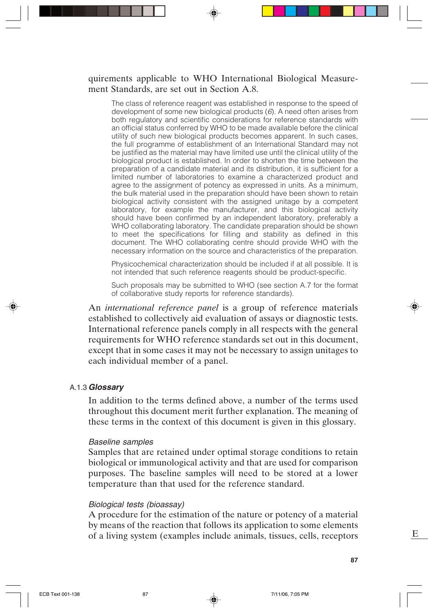## quirements applicable to WHO International Biological Measurement Standards, are set out in Section A.8.

The class of reference reagent was established in response to the speed of development of some new biological products (6). A need often arises from both regulatory and scientific considerations for reference standards with an official status conferred by WHO to be made available before the clinical utility of such new biological products becomes apparent. In such cases, the full programme of establishment of an International Standard may not be justified as the material may have limited use until the clinical utility of the biological product is established. In order to shorten the time between the preparation of a candidate material and its distribution, it is sufficient for a limited number of laboratories to examine a characterized product and agree to the assignment of potency as expressed in units. As a minimum, the bulk material used in the preparation should have been shown to retain biological activity consistent with the assigned unitage by a competent laboratory, for example the manufacturer, and this biological activity should have been confirmed by an independent laboratory, preferably a WHO collaborating laboratory. The candidate preparation should be shown to meet the specifications for filling and stability as defined in this document. The WHO collaborating centre should provide WHO with the necessary information on the source and characteristics of the preparation.

Physicochemical characterization should be included if at all possible. It is not intended that such reference reagents should be product-specific.

Such proposals may be submitted to WHO (see section A.7 for the format of collaborative study reports for reference standards).

An *international reference panel* is a group of reference materials established to collectively aid evaluation of assays or diagnostic tests. International reference panels comply in all respects with the general requirements for WHO reference standards set out in this document, except that in some cases it may not be necessary to assign unitages to each individual member of a panel.

#### A.1.3 **Glossary**

In addition to the terms defined above, a number of the terms used throughout this document merit further explanation. The meaning of these terms in the context of this document is given in this glossary.

#### Baseline samples

Samples that are retained under optimal storage conditions to retain biological or immunological activity and that are used for comparison purposes. The baseline samples will need to be stored at a lower temperature than that used for the reference standard.

#### Biological tests (bioassay)

A procedure for the estimation of the nature or potency of a material by means of the reaction that follows its application to some elements of a living system (examples include animals, tissues, cells, receptors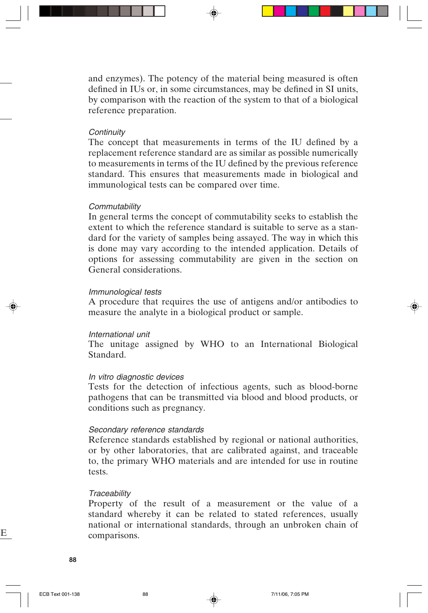and enzymes). The potency of the material being measured is often defined in IUs or, in some circumstances, may be defined in SI units, by comparison with the reaction of the system to that of a biological reference preparation.

#### **Continuity**

The concept that measurements in terms of the IU defined by a replacement reference standard are as similar as possible numerically to measurements in terms of the IU defined by the previous reference standard. This ensures that measurements made in biological and immunological tests can be compared over time.

### **Commutability**

In general terms the concept of commutability seeks to establish the extent to which the reference standard is suitable to serve as a standard for the variety of samples being assayed. The way in which this is done may vary according to the intended application. Details of options for assessing commutability are given in the section on General considerations.

### Immunological tests

A procedure that requires the use of antigens and/or antibodies to measure the analyte in a biological product or sample.

#### International unit

The unitage assigned by WHO to an International Biological Standard.

#### In vitro diagnostic devices

Tests for the detection of infectious agents, such as blood-borne pathogens that can be transmitted via blood and blood products, or conditions such as pregnancy.

## Secondary reference standards

Reference standards established by regional or national authorities, or by other laboratories, that are calibrated against, and traceable to, the primary WHO materials and are intended for use in routine tests.

#### **Traceability**

Property of the result of a measurement or the value of a standard whereby it can be related to stated references, usually national or international standards, through an unbroken chain of comparisons.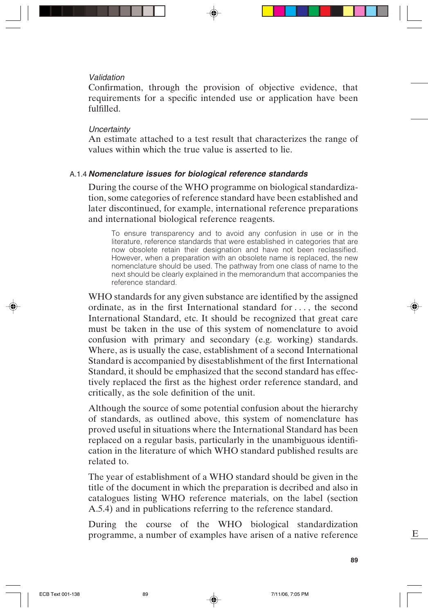### Validation

Confirmation, through the provision of objective evidence, that requirements for a specific intended use or application have been fulfilled.

#### **Uncertainty**

An estimate attached to a test result that characterizes the range of values within which the true value is asserted to lie.

### A.1.4 **Nomenclature issues for biological reference standards**

During the course of the WHO programme on biological standardization, some categories of reference standard have been established and later discontinued, for example, international reference preparations and international biological reference reagents.

To ensure transparency and to avoid any confusion in use or in the literature, reference standards that were established in categories that are now obsolete retain their designation and have not been reclassified. However, when a preparation with an obsolete name is replaced, the new nomenclature should be used. The pathway from one class of name to the next should be clearly explained in the memorandum that accompanies the reference standard.

WHO standards for any given substance are identified by the assigned ordinate, as in the first International standard for . . . , the second International Standard, etc. It should be recognized that great care must be taken in the use of this system of nomenclature to avoid confusion with primary and secondary (e.g. working) standards. Where, as is usually the case, establishment of a second International Standard is accompanied by disestablishment of the first International Standard, it should be emphasized that the second standard has effectively replaced the first as the highest order reference standard, and critically, as the sole definition of the unit.

Although the source of some potential confusion about the hierarchy of standards, as outlined above, this system of nomenclature has proved useful in situations where the International Standard has been replaced on a regular basis, particularly in the unambiguous identification in the literature of which WHO standard published results are related to.

The year of establishment of a WHO standard should be given in the title of the document in which the preparation is decribed and also in catalogues listing WHO reference materials, on the label (section A.5.4) and in publications referring to the reference standard.

During the course of the WHO biological standardization programme, a number of examples have arisen of a native reference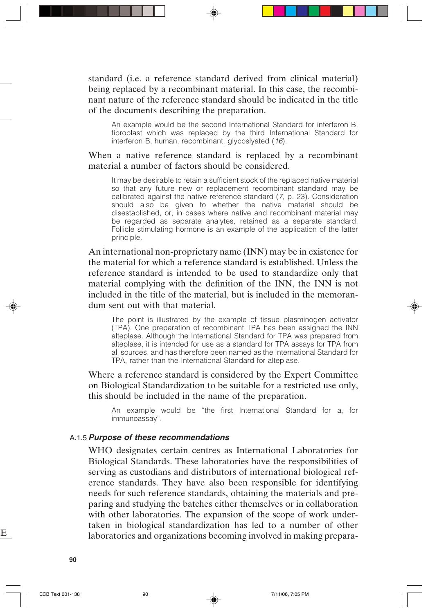standard (i.e. a reference standard derived from clinical material) being replaced by a recombinant material. In this case, the recombinant nature of the reference standard should be indicated in the title of the documents describing the preparation.

An example would be the second International Standard for interferon B, fibroblast which was replaced by the third International Standard for interferon B, human, recombinant, glycoslyated (16).

When a native reference standard is replaced by a recombinant material a number of factors should be considered.

It may be desirable to retain a sufficient stock of the replaced native material so that any future new or replacement recombinant standard may be calibrated against the native reference standard (7, p. 23). Consideration should also be given to whether the native material should be disestablished, or, in cases where native and recombinant material may be regarded as separate analytes, retained as a separate standard. Follicle stimulating hormone is an example of the application of the latter principle.

An international non-proprietary name (INN) may be in existence for the material for which a reference standard is established. Unless the reference standard is intended to be used to standardize only that material complying with the definition of the INN, the INN is not included in the title of the material, but is included in the memorandum sent out with that material.

The point is illustrated by the example of tissue plasminogen activator (TPA). One preparation of recombinant TPA has been assigned the INN alteplase. Although the International Standard for TPA was prepared from alteplase, it is intended for use as a standard for TPA assays for TPA from all sources, and has therefore been named as the International Standard for TPA, rather than the International Standard for alteplase.

Where a reference standard is considered by the Expert Committee on Biological Standardization to be suitable for a restricted use only, this should be included in the name of the preparation.

An example would be "the first International Standard for a, for immunoassay".

#### A.1.5 **Purpose of these recommendations**

WHO designates certain centres as International Laboratories for Biological Standards. These laboratories have the responsibilities of serving as custodians and distributors of international biological reference standards. They have also been responsible for identifying needs for such reference standards, obtaining the materials and preparing and studying the batches either themselves or in collaboration with other laboratories. The expansion of the scope of work undertaken in biological standardization has led to a number of other laboratories and organizations becoming involved in making prepara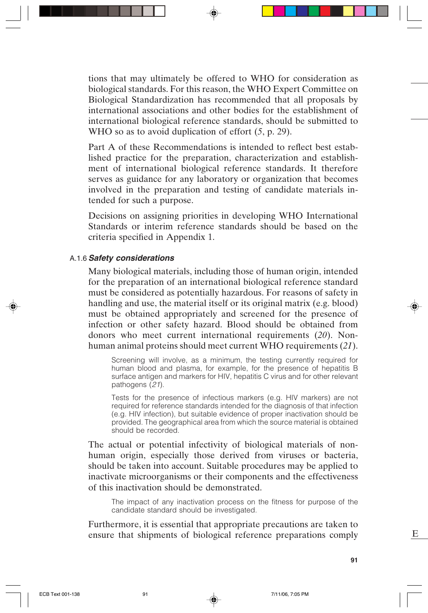tions that may ultimately be offered to WHO for consideration as biological standards. For this reason, the WHO Expert Committee on Biological Standardization has recommended that all proposals by international associations and other bodies for the establishment of international biological reference standards, should be submitted to WHO so as to avoid duplication of effort (*5*, p. 29).

Part A of these Recommendations is intended to reflect best established practice for the preparation, characterization and establishment of international biological reference standards. It therefore serves as guidance for any laboratory or organization that becomes involved in the preparation and testing of candidate materials intended for such a purpose.

Decisions on assigning priorities in developing WHO International Standards or interim reference standards should be based on the criteria specified in Appendix 1.

## A.1.6 **Safety considerations**

Many biological materials, including those of human origin, intended for the preparation of an international biological reference standard must be considered as potentially hazardous. For reasons of safety in handling and use, the material itself or its original matrix (e.g. blood) must be obtained appropriately and screened for the presence of infection or other safety hazard. Blood should be obtained from donors who meet current international requirements (*20*). Nonhuman animal proteins should meet current WHO requirements (*21*).

Screening will involve, as a minimum, the testing currently required for human blood and plasma, for example, for the presence of hepatitis B surface antigen and markers for HIV, hepatitis C virus and for other relevant pathogens (21).

Tests for the presence of infectious markers (e.g. HIV markers) are not required for reference standards intended for the diagnosis of that infection (e.g. HIV infection), but suitable evidence of proper inactivation should be provided. The geographical area from which the source material is obtained should be recorded.

The actual or potential infectivity of biological materials of nonhuman origin, especially those derived from viruses or bacteria, should be taken into account. Suitable procedures may be applied to inactivate microorganisms or their components and the effectiveness of this inactivation should be demonstrated.

The impact of any inactivation process on the fitness for purpose of the candidate standard should be investigated.

Furthermore, it is essential that appropriate precautions are taken to ensure that shipments of biological reference preparations comply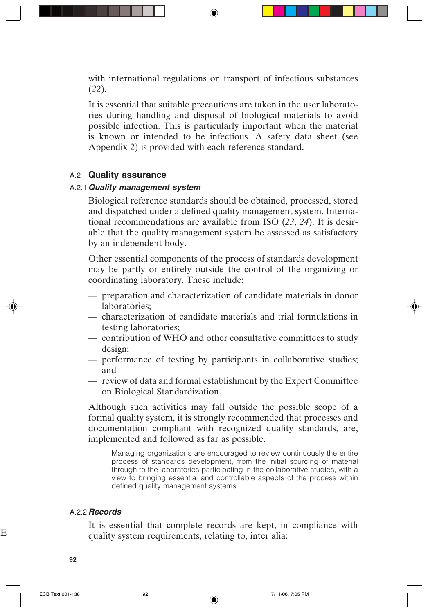with international regulations on transport of infectious substances (*22*).

It is essential that suitable precautions are taken in the user laboratories during handling and disposal of biological materials to avoid possible infection. This is particularly important when the material is known or intended to be infectious. A safety data sheet (see Appendix 2) is provided with each reference standard.

## A.2 **Quality assurance**

## A.2.1 **Quality management system**

Biological reference standards should be obtained, processed, stored and dispatched under a defined quality management system. International recommendations are available from ISO (*23*, *24*). It is desirable that the quality management system be assessed as satisfactory by an independent body.

Other essential components of the process of standards development may be partly or entirely outside the control of the organizing or coordinating laboratory. These include:

- preparation and characterization of candidate materials in donor laboratories;
- characterization of candidate materials and trial formulations in testing laboratories;
- contribution of WHO and other consultative committees to study design;
- performance of testing by participants in collaborative studies; and
- review of data and formal establishment by the Expert Committee on Biological Standardization.

Although such activities may fall outside the possible scope of a formal quality system, it is strongly recommended that processes and documentation compliant with recognized quality standards, are, implemented and followed as far as possible.

Managing organizations are encouraged to review continuously the entire process of standards development, from the initial sourcing of material through to the laboratories participating in the collaborative studies, with a view to bringing essential and controllable aspects of the process within defined quality management systems.

## A.2.2 **Records**

It is essential that complete records are kept, in compliance with quality system requirements, relating to, inter alia: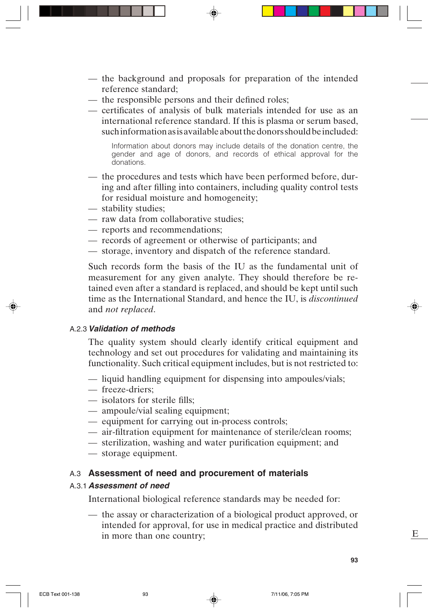- the background and proposals for preparation of the intended reference standard;
- the responsible persons and their defined roles;
- certificates of analysis of bulk materials intended for use as an international reference standard. If this is plasma or serum based, such information as is available about the donors should be included:

Information about donors may include details of the donation centre, the gender and age of donors, and records of ethical approval for the donations.

- the procedures and tests which have been performed before, during and after filling into containers, including quality control tests for residual moisture and homogeneity;
- stability studies;
- raw data from collaborative studies;
- reports and recommendations;
- records of agreement or otherwise of participants; and
- storage, inventory and dispatch of the reference standard.

Such records form the basis of the IU as the fundamental unit of measurement for any given analyte. They should therefore be retained even after a standard is replaced, and should be kept until such time as the International Standard, and hence the IU, is *discontinued* and *not replaced*.

## A.2.3 **Validation of methods**

The quality system should clearly identify critical equipment and technology and set out procedures for validating and maintaining its functionality. Such critical equipment includes, but is not restricted to:

- liquid handling equipment for dispensing into ampoules/vials;
- freeze-driers;
- isolators for sterile fills;
- ampoule/vial sealing equipment;
- equipment for carrying out in-process controls;
- air-filtration equipment for maintenance of sterile/clean rooms;
- sterilization, washing and water purification equipment; and
- storage equipment.

## A.3 **Assessment of need and procurement of materials**

## A.3.1 **Assessment of need**

International biological reference standards may be needed for:

— the assay or characterization of a biological product approved, or intended for approval, for use in medical practice and distributed in more than one country;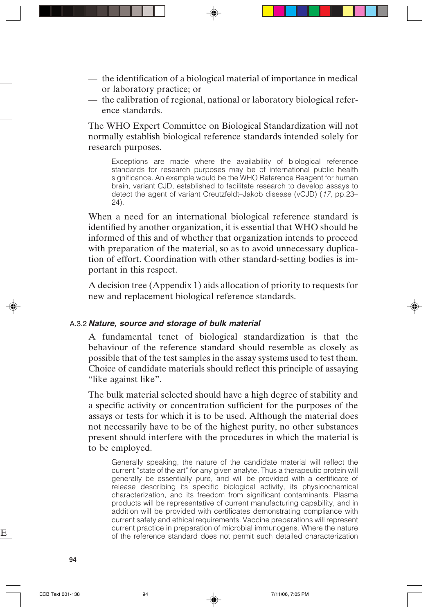- the identification of a biological material of importance in medical or laboratory practice; or
- the calibration of regional, national or laboratory biological reference standards.

The WHO Expert Committee on Biological Standardization will not normally establish biological reference standards intended solely for research purposes.

Exceptions are made where the availability of biological reference standards for research purposes may be of international public health significance. An example would be the WHO Reference Reagent for human brain, variant CJD, established to facilitate research to develop assays to detect the agent of variant Creutzfeldt–Jakob disease (vCJD) (17, pp.23– 24).

When a need for an international biological reference standard is identified by another organization, it is essential that WHO should be informed of this and of whether that organization intends to proceed with preparation of the material, so as to avoid unnecessary duplication of effort. Coordination with other standard-setting bodies is important in this respect.

A decision tree (Appendix 1) aids allocation of priority to requests for new and replacement biological reference standards.

#### A.3.2 **Nature, source and storage of bulk material**

A fundamental tenet of biological standardization is that the behaviour of the reference standard should resemble as closely as possible that of the test samples in the assay systems used to test them. Choice of candidate materials should reflect this principle of assaying "like against like".

The bulk material selected should have a high degree of stability and a specific activity or concentration sufficient for the purposes of the assays or tests for which it is to be used. Although the material does not necessarily have to be of the highest purity, no other substances present should interfere with the procedures in which the material is to be employed.

Generally speaking, the nature of the candidate material will reflect the current "state of the art" for any given analyte. Thus a therapeutic protein will generally be essentially pure, and will be provided with a certificate of release describing its specific biological activity, its physicochemical characterization, and its freedom from significant contaminants. Plasma products will be representative of current manufacturing capability, and in addition will be provided with certificates demonstrating compliance with current safety and ethical requirements. Vaccine preparations will represent current practice in preparation of microbial immunogens. Where the nature of the reference standard does not permit such detailed characterization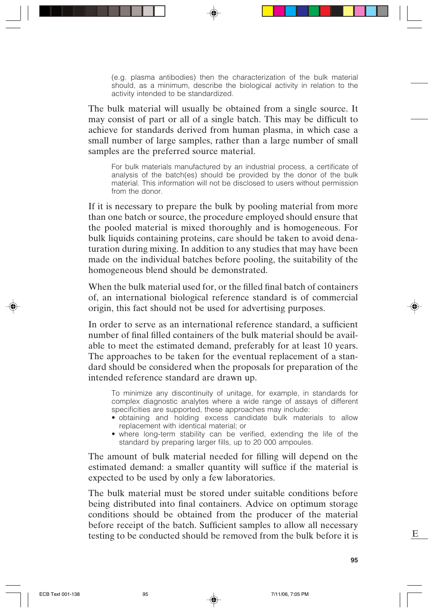(e.g. plasma antibodies) then the characterization of the bulk material should, as a minimum, describe the biological activity in relation to the activity intended to be standardized.

The bulk material will usually be obtained from a single source. It may consist of part or all of a single batch. This may be difficult to achieve for standards derived from human plasma, in which case a small number of large samples, rather than a large number of small samples are the preferred source material.

For bulk materials manufactured by an industrial process, a certificate of analysis of the batch(es) should be provided by the donor of the bulk material. This information will not be disclosed to users without permission from the donor.

If it is necessary to prepare the bulk by pooling material from more than one batch or source, the procedure employed should ensure that the pooled material is mixed thoroughly and is homogeneous. For bulk liquids containing proteins, care should be taken to avoid denaturation during mixing. In addition to any studies that may have been made on the individual batches before pooling, the suitability of the homogeneous blend should be demonstrated.

When the bulk material used for, or the filled final batch of containers of, an international biological reference standard is of commercial origin, this fact should not be used for advertising purposes.

In order to serve as an international reference standard, a sufficient number of final filled containers of the bulk material should be available to meet the estimated demand, preferably for at least 10 years. The approaches to be taken for the eventual replacement of a standard should be considered when the proposals for preparation of the intended reference standard are drawn up.

To minimize any discontinuity of unitage, for example, in standards for complex diagnostic analytes where a wide range of assays of different specificities are supported, these approaches may include:

- obtaining and holding excess candidate bulk materials to allow replacement with identical material; or
- where long-term stability can be verified, extending the life of the standard by preparing larger fills, up to 20 000 ampoules.

The amount of bulk material needed for filling will depend on the estimated demand: a smaller quantity will suffice if the material is expected to be used by only a few laboratories.

The bulk material must be stored under suitable conditions before being distributed into final containers. Advice on optimum storage conditions should be obtained from the producer of the material before receipt of the batch. Sufficient samples to allow all necessary testing to be conducted should be removed from the bulk before it is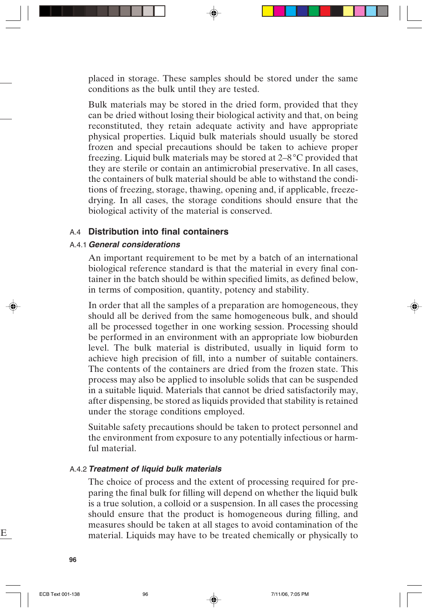placed in storage. These samples should be stored under the same conditions as the bulk until they are tested.

Bulk materials may be stored in the dried form, provided that they can be dried without losing their biological activity and that, on being reconstituted, they retain adequate activity and have appropriate physical properties. Liquid bulk materials should usually be stored frozen and special precautions should be taken to achieve proper freezing. Liquid bulk materials may be stored at 2–8°C provided that they are sterile or contain an antimicrobial preservative. In all cases, the containers of bulk material should be able to withstand the conditions of freezing, storage, thawing, opening and, if applicable, freezedrying. In all cases, the storage conditions should ensure that the biological activity of the material is conserved.

## A.4 **Distribution into final containers**

### A.4.1 **General considerations**

An important requirement to be met by a batch of an international biological reference standard is that the material in every final container in the batch should be within specified limits, as defined below, in terms of composition, quantity, potency and stability.

In order that all the samples of a preparation are homogeneous, they should all be derived from the same homogeneous bulk, and should all be processed together in one working session. Processing should be performed in an environment with an appropriate low bioburden level. The bulk material is distributed, usually in liquid form to achieve high precision of fill, into a number of suitable containers. The contents of the containers are dried from the frozen state. This process may also be applied to insoluble solids that can be suspended in a suitable liquid. Materials that cannot be dried satisfactorily may, after dispensing, be stored as liquids provided that stability is retained under the storage conditions employed.

Suitable safety precautions should be taken to protect personnel and the environment from exposure to any potentially infectious or harmful material.

#### A.4.2 **Treatment of liquid bulk materials**

The choice of process and the extent of processing required for preparing the final bulk for filling will depend on whether the liquid bulk is a true solution, a colloid or a suspension. In all cases the processing should ensure that the product is homogeneous during filling, and measures should be taken at all stages to avoid contamination of the material. Liquids may have to be treated chemically or physically to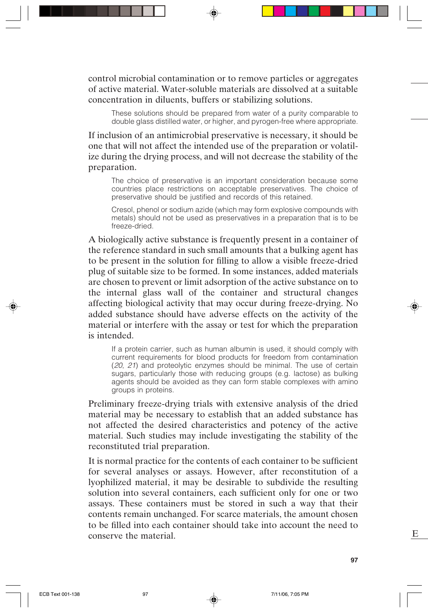control microbial contamination or to remove particles or aggregates of active material. Water-soluble materials are dissolved at a suitable concentration in diluents, buffers or stabilizing solutions.

These solutions should be prepared from water of a purity comparable to double glass distilled water, or higher, and pyrogen-free where appropriate.

If inclusion of an antimicrobial preservative is necessary, it should be one that will not affect the intended use of the preparation or volatilize during the drying process, and will not decrease the stability of the preparation.

The choice of preservative is an important consideration because some countries place restrictions on acceptable preservatives. The choice of preservative should be justified and records of this retained.

Cresol, phenol or sodium azide (which may form explosive compounds with metals) should not be used as preservatives in a preparation that is to be freeze-dried.

A biologically active substance is frequently present in a container of the reference standard in such small amounts that a bulking agent has to be present in the solution for filling to allow a visible freeze-dried plug of suitable size to be formed. In some instances, added materials are chosen to prevent or limit adsorption of the active substance on to the internal glass wall of the container and structural changes affecting biological activity that may occur during freeze-drying. No added substance should have adverse effects on the activity of the material or interfere with the assay or test for which the preparation is intended.

If a protein carrier, such as human albumin is used, it should comply with current requirements for blood products for freedom from contamination (20, 21) and proteolytic enzymes should be minimal. The use of certain sugars, particularly those with reducing groups (e.g. lactose) as bulking agents should be avoided as they can form stable complexes with amino groups in proteins.

Preliminary freeze-drying trials with extensive analysis of the dried material may be necessary to establish that an added substance has not affected the desired characteristics and potency of the active material. Such studies may include investigating the stability of the reconstituted trial preparation.

It is normal practice for the contents of each container to be sufficient for several analyses or assays. However, after reconstitution of a lyophilized material, it may be desirable to subdivide the resulting solution into several containers, each sufficient only for one or two assays. These containers must be stored in such a way that their contents remain unchanged. For scarce materials, the amount chosen to be filled into each container should take into account the need to conserve the material.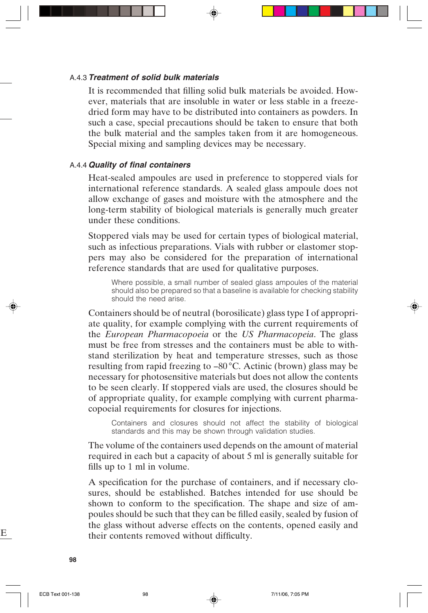#### A.4.3 **Treatment of solid bulk materials**

It is recommended that filling solid bulk materials be avoided. However, materials that are insoluble in water or less stable in a freezedried form may have to be distributed into containers as powders. In such a case, special precautions should be taken to ensure that both the bulk material and the samples taken from it are homogeneous. Special mixing and sampling devices may be necessary.

#### A.4.4 **Quality of final containers**

Heat-sealed ampoules are used in preference to stoppered vials for international reference standards. A sealed glass ampoule does not allow exchange of gases and moisture with the atmosphere and the long-term stability of biological materials is generally much greater under these conditions.

Stoppered vials may be used for certain types of biological material, such as infectious preparations. Vials with rubber or elastomer stoppers may also be considered for the preparation of international reference standards that are used for qualitative purposes.

Where possible, a small number of sealed glass ampoules of the material should also be prepared so that a baseline is available for checking stability should the need arise.

Containers should be of neutral (borosilicate) glass type I of appropriate quality, for example complying with the current requirements of the *European Pharmacopoeia* or the *US Pharmacopeia*. The glass must be free from stresses and the containers must be able to withstand sterilization by heat and temperature stresses, such as those resulting from rapid freezing to −80 °C. Actinic (brown) glass may be necessary for photosensitive materials but does not allow the contents to be seen clearly. If stoppered vials are used, the closures should be of appropriate quality, for example complying with current pharmacopoeial requirements for closures for injections.

Containers and closures should not affect the stability of biological standards and this may be shown through validation studies.

The volume of the containers used depends on the amount of material required in each but a capacity of about 5 ml is generally suitable for fills up to 1 ml in volume.

A specification for the purchase of containers, and if necessary closures, should be established. Batches intended for use should be shown to conform to the specification. The shape and size of ampoules should be such that they can be filled easily, sealed by fusion of the glass without adverse effects on the contents, opened easily and their contents removed without difficulty.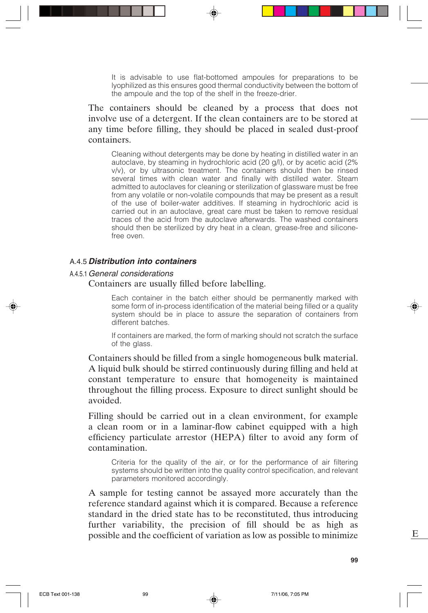It is advisable to use flat-bottomed ampoules for preparations to be lyophilized as this ensures good thermal conductivity between the bottom of the ampoule and the top of the shelf in the freeze-drier.

The containers should be cleaned by a process that does not involve use of a detergent. If the clean containers are to be stored at any time before filling, they should be placed in sealed dust-proof containers.

Cleaning without detergents may be done by heating in distilled water in an autoclave, by steaming in hydrochloric acid (20 g/l), or by acetic acid (2% v/v), or by ultrasonic treatment. The containers should then be rinsed several times with clean water and finally with distilled water. Steam admitted to autoclaves for cleaning or sterilization of glassware must be free from any volatile or non-volatile compounds that may be present as a result of the use of boiler-water additives. If steaming in hydrochloric acid is carried out in an autoclave, great care must be taken to remove residual traces of the acid from the autoclave afterwards. The washed containers should then be sterilized by dry heat in a clean, grease-free and siliconefree oven.

#### A.4.5 **Distribution into containers**

#### A.4.5.1General considerations

Containers are usually filled before labelling.

Each container in the batch either should be permanently marked with some form of in-process identification of the material being filled or a quality system should be in place to assure the separation of containers from different batches.

If containers are marked, the form of marking should not scratch the surface of the glass.

Containers should be filled from a single homogeneous bulk material. A liquid bulk should be stirred continuously during filling and held at constant temperature to ensure that homogeneity is maintained throughout the filling process. Exposure to direct sunlight should be avoided.

Filling should be carried out in a clean environment, for example a clean room or in a laminar-flow cabinet equipped with a high efficiency particulate arrestor (HEPA) filter to avoid any form of contamination.

Criteria for the quality of the air, or for the performance of air filtering systems should be written into the quality control specification, and relevant parameters monitored accordingly.

A sample for testing cannot be assayed more accurately than the reference standard against which it is compared. Because a reference standard in the dried state has to be reconstituted, thus introducing further variability, the precision of fill should be as high as possible and the coefficient of variation as low as possible to minimize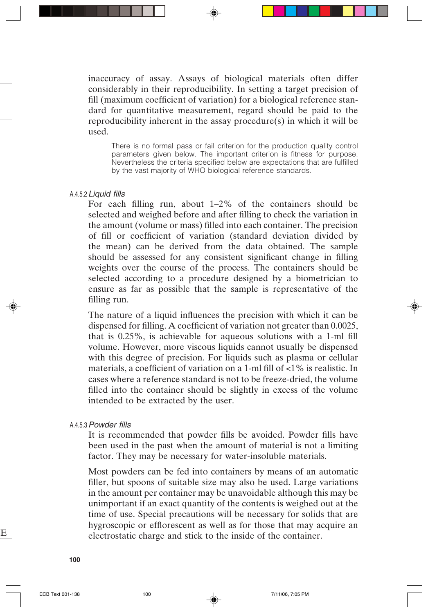inaccuracy of assay. Assays of biological materials often differ considerably in their reproducibility. In setting a target precision of fill (maximum coefficient of variation) for a biological reference standard for quantitative measurement, regard should be paid to the reproducibility inherent in the assay procedure(s) in which it will be used.

There is no formal pass or fail criterion for the production quality control parameters given below. The important criterion is fitness for purpose. Nevertheless the criteria specified below are expectations that are fulfilled by the vast majority of WHO biological reference standards.

#### A.4.5.2 Liquid fills

For each filling run, about 1–2% of the containers should be selected and weighed before and after filling to check the variation in the amount (volume or mass) filled into each container. The precision of fill or coefficient of variation (standard deviation divided by the mean) can be derived from the data obtained. The sample should be assessed for any consistent significant change in filling weights over the course of the process. The containers should be selected according to a procedure designed by a biometrician to ensure as far as possible that the sample is representative of the filling run.

The nature of a liquid influences the precision with which it can be dispensed for filling. A coefficient of variation not greater than 0.0025, that is 0.25%, is achievable for aqueous solutions with a 1-ml fill volume. However, more viscous liquids cannot usually be dispensed with this degree of precision. For liquids such as plasma or cellular materials, a coefficient of variation on a 1-ml fill of <1% is realistic. In cases where a reference standard is not to be freeze-dried, the volume filled into the container should be slightly in excess of the volume intended to be extracted by the user.

#### A.4.5.3Powder fills

It is recommended that powder fills be avoided. Powder fills have been used in the past when the amount of material is not a limiting factor. They may be necessary for water-insoluble materials.

Most powders can be fed into containers by means of an automatic filler, but spoons of suitable size may also be used. Large variations in the amount per container may be unavoidable although this may be unimportant if an exact quantity of the contents is weighed out at the time of use. Special precautions will be necessary for solids that are hygroscopic or efflorescent as well as for those that may acquire an electrostatic charge and stick to the inside of the container.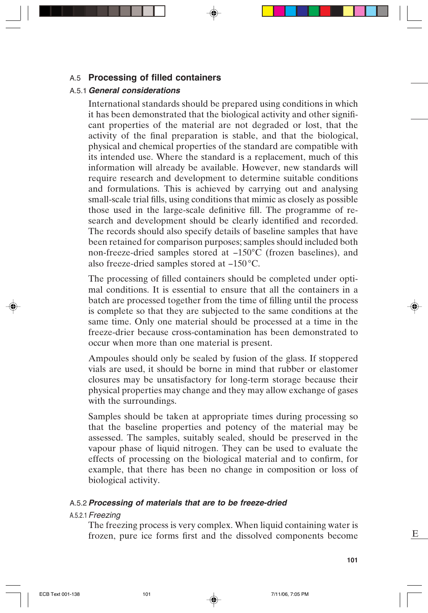## A.5 **Processing of filled containers**

### A.5.1 **General considerations**

International standards should be prepared using conditions in which it has been demonstrated that the biological activity and other significant properties of the material are not degraded or lost, that the activity of the final preparation is stable, and that the biological, physical and chemical properties of the standard are compatible with its intended use. Where the standard is a replacement, much of this information will already be available. However, new standards will require research and development to determine suitable conditions and formulations. This is achieved by carrying out and analysing small-scale trial fills, using conditions that mimic as closely as possible those used in the large-scale definitive fill. The programme of research and development should be clearly identified and recorded. The records should also specify details of baseline samples that have been retained for comparison purposes; samples should included both non-freeze-dried samples stored at −150°C (frozen baselines), and also freeze-dried samples stored at −150°C.

The processing of filled containers should be completed under optimal conditions. It is essential to ensure that all the containers in a batch are processed together from the time of filling until the process is complete so that they are subjected to the same conditions at the same time. Only one material should be processed at a time in the freeze-drier because cross-contamination has been demonstrated to occur when more than one material is present.

Ampoules should only be sealed by fusion of the glass. If stoppered vials are used, it should be borne in mind that rubber or elastomer closures may be unsatisfactory for long-term storage because their physical properties may change and they may allow exchange of gases with the surroundings.

Samples should be taken at appropriate times during processing so that the baseline properties and potency of the material may be assessed. The samples, suitably sealed, should be preserved in the vapour phase of liquid nitrogen. They can be used to evaluate the effects of processing on the biological material and to confirm, for example, that there has been no change in composition or loss of biological activity.

## A.5.2 **Processing of materials that are to be freeze-dried**

#### A.5.2.1 Freezing

The freezing process is very complex. When liquid containing water is frozen, pure ice forms first and the dissolved components become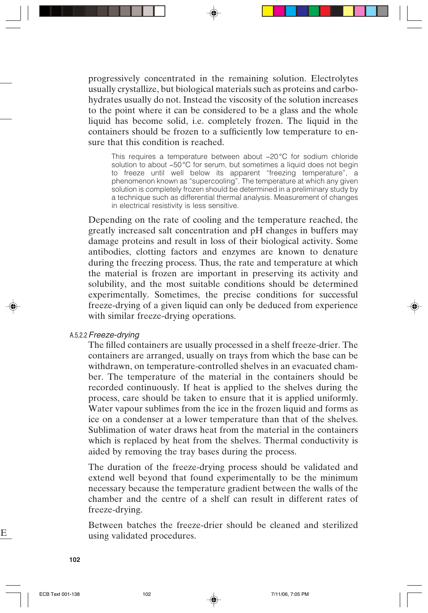progressively concentrated in the remaining solution. Electrolytes usually crystallize, but biological materials such as proteins and carbohydrates usually do not. Instead the viscosity of the solution increases to the point where it can be considered to be a glass and the whole liquid has become solid, i.e. completely frozen. The liquid in the containers should be frozen to a sufficiently low temperature to ensure that this condition is reached.

This requires a temperature between about −20°C for sodium chloride solution to about −50 °C for serum, but sometimes a liquid does not begin to freeze until well below its apparent "freezing temperature", a phenomenon known as "supercooling". The temperature at which any given solution is completely frozen should be determined in a preliminary study by a technique such as differential thermal analysis. Measurement of changes in electrical resistivity is less sensitive.

Depending on the rate of cooling and the temperature reached, the greatly increased salt concentration and pH changes in buffers may damage proteins and result in loss of their biological activity. Some antibodies, clotting factors and enzymes are known to denature during the freezing process. Thus, the rate and temperature at which the material is frozen are important in preserving its activity and solubility, and the most suitable conditions should be determined experimentally. Sometimes, the precise conditions for successful freeze-drying of a given liquid can only be deduced from experience with similar freeze-drying operations.

#### A.5.2.2Freeze-drying

The filled containers are usually processed in a shelf freeze-drier. The containers are arranged, usually on trays from which the base can be withdrawn, on temperature-controlled shelves in an evacuated chamber. The temperature of the material in the containers should be recorded continuously. If heat is applied to the shelves during the process, care should be taken to ensure that it is applied uniformly. Water vapour sublimes from the ice in the frozen liquid and forms as ice on a condenser at a lower temperature than that of the shelves. Sublimation of water draws heat from the material in the containers which is replaced by heat from the shelves. Thermal conductivity is aided by removing the tray bases during the process.

The duration of the freeze-drying process should be validated and extend well beyond that found experimentally to be the minimum necessary because the temperature gradient between the walls of the chamber and the centre of a shelf can result in different rates of freeze-drying.

Between batches the freeze-drier should be cleaned and sterilized using validated procedures.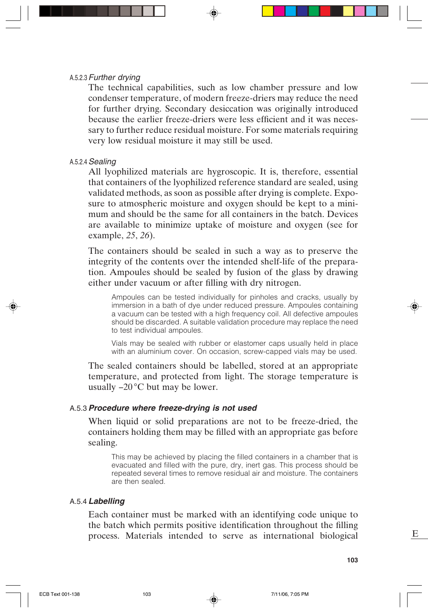#### A.5.2.3Further drying

The technical capabilities, such as low chamber pressure and low condenser temperature, of modern freeze-driers may reduce the need for further drying. Secondary desiccation was originally introduced because the earlier freeze-driers were less efficient and it was necessary to further reduce residual moisture. For some materials requiring very low residual moisture it may still be used.

#### A.5.2.4 Sealing

All lyophilized materials are hygroscopic. It is, therefore, essential that containers of the lyophilized reference standard are sealed, using validated methods, as soon as possible after drying is complete. Exposure to atmospheric moisture and oxygen should be kept to a minimum and should be the same for all containers in the batch. Devices are available to minimize uptake of moisture and oxygen (see for example, *25*, *26*).

The containers should be sealed in such a way as to preserve the integrity of the contents over the intended shelf-life of the preparation. Ampoules should be sealed by fusion of the glass by drawing either under vacuum or after filling with dry nitrogen.

Ampoules can be tested individually for pinholes and cracks, usually by immersion in a bath of dye under reduced pressure. Ampoules containing a vacuum can be tested with a high frequency coil. All defective ampoules should be discarded. A suitable validation procedure may replace the need to test individual ampoules.

Vials may be sealed with rubber or elastomer caps usually held in place with an aluminium cover. On occasion, screw-capped vials may be used.

The sealed containers should be labelled, stored at an appropriate temperature, and protected from light. The storage temperature is usually −20 °C but may be lower.

#### A.5.3 **Procedure where freeze-drying is not used**

When liquid or solid preparations are not to be freeze-dried, the containers holding them may be filled with an appropriate gas before sealing.

This may be achieved by placing the filled containers in a chamber that is evacuated and filled with the pure, dry, inert gas. This process should be repeated several times to remove residual air and moisture. The containers are then sealed.

#### A.5.4 **Labelling**

Each container must be marked with an identifying code unique to the batch which permits positive identification throughout the filling process. Materials intended to serve as international biological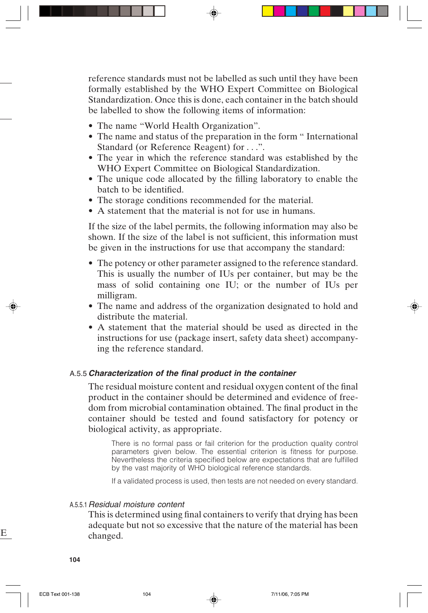reference standards must not be labelled as such until they have been formally established by the WHO Expert Committee on Biological Standardization. Once this is done, each container in the batch should be labelled to show the following items of information:

- The name "World Health Organization".
- The name and status of the preparation in the form "International Standard (or Reference Reagent) for . . .".
- The year in which the reference standard was established by the WHO Expert Committee on Biological Standardization.
- The unique code allocated by the filling laboratory to enable the batch to be identified.
- The storage conditions recommended for the material.
- A statement that the material is not for use in humans.

If the size of the label permits, the following information may also be shown. If the size of the label is not sufficient, this information must be given in the instructions for use that accompany the standard:

- The potency or other parameter assigned to the reference standard. This is usually the number of IUs per container, but may be the mass of solid containing one IU; or the number of IUs per milligram.
- The name and address of the organization designated to hold and distribute the material.
- A statement that the material should be used as directed in the instructions for use (package insert, safety data sheet) accompanying the reference standard.

#### A.5.5 **Characterization of the final product in the container**

The residual moisture content and residual oxygen content of the final product in the container should be determined and evidence of freedom from microbial contamination obtained. The final product in the container should be tested and found satisfactory for potency or biological activity, as appropriate.

There is no formal pass or fail criterion for the production quality control parameters given below. The essential criterion is fitness for purpose. Nevertheless the criteria specified below are expectations that are fulfilled by the vast majority of WHO biological reference standards.

If a validated process is used, then tests are not needed on every standard.

#### A.5.5.1 Residual moisture content

This is determined using final containers to verify that drying has been adequate but not so excessive that the nature of the material has been changed.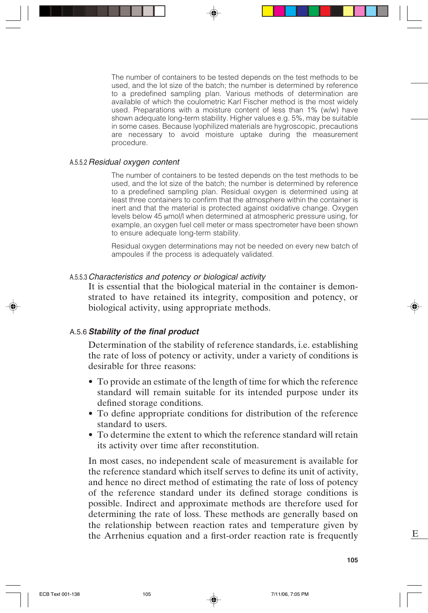The number of containers to be tested depends on the test methods to be used, and the lot size of the batch; the number is determined by reference to a predefined sampling plan. Various methods of determination are available of which the coulometric Karl Fischer method is the most widely used. Preparations with a moisture content of less than 1% (w/w) have shown adequate long-term stability. Higher values e.g. 5%, may be suitable in some cases. Because lyophilized materials are hygroscopic, precautions are necessary to avoid moisture uptake during the measurement procedure.

#### A.5.5.2 Residual oxygen content

The number of containers to be tested depends on the test methods to be used, and the lot size of the batch; the number is determined by reference to a predefined sampling plan. Residual oxygen is determined using at least three containers to confirm that the atmosphere within the container is inert and that the material is protected against oxidative change. Oxygen levels below 45 μmol/l when determined at atmospheric pressure using, for example, an oxygen fuel cell meter or mass spectrometer have been shown to ensure adequate long-term stability.

Residual oxygen determinations may not be needed on every new batch of ampoules if the process is adequately validated.

#### A.5.5.3 Characteristics and potency or biological activity

It is essential that the biological material in the container is demonstrated to have retained its integrity, composition and potency, or biological activity, using appropriate methods.

#### A.5.6 **Stability of the final product**

Determination of the stability of reference standards, i.e. establishing the rate of loss of potency or activity, under a variety of conditions is desirable for three reasons:

- To provide an estimate of the length of time for which the reference standard will remain suitable for its intended purpose under its defined storage conditions.
- To define appropriate conditions for distribution of the reference standard to users.
- To determine the extent to which the reference standard will retain its activity over time after reconstitution.

In most cases, no independent scale of measurement is available for the reference standard which itself serves to define its unit of activity, and hence no direct method of estimating the rate of loss of potency of the reference standard under its defined storage conditions is possible. Indirect and approximate methods are therefore used for determining the rate of loss. These methods are generally based on the relationship between reaction rates and temperature given by the Arrhenius equation and a first-order reaction rate is frequently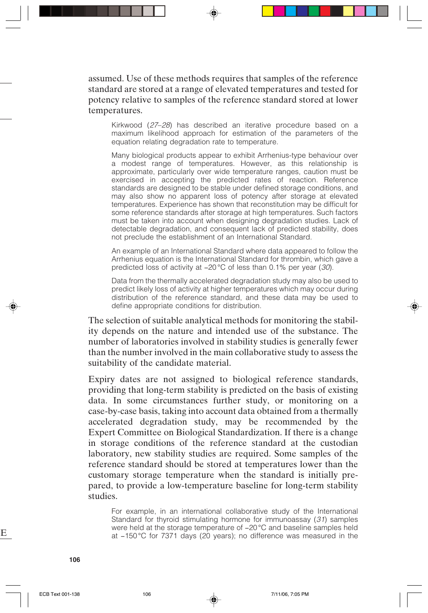assumed. Use of these methods requires that samples of the reference standard are stored at a range of elevated temperatures and tested for potency relative to samples of the reference standard stored at lower temperatures.

Kirkwood (27–28) has described an iterative procedure based on a maximum likelihood approach for estimation of the parameters of the equation relating degradation rate to temperature.

Many biological products appear to exhibit Arrhenius-type behaviour over a modest range of temperatures. However, as this relationship is approximate, particularly over wide temperature ranges, caution must be exercised in accepting the predicted rates of reaction. Reference standards are designed to be stable under defined storage conditions, and may also show no apparent loss of potency after storage at elevated temperatures. Experience has shown that reconstitution may be difficult for some reference standards after storage at high temperatures. Such factors must be taken into account when designing degradation studies. Lack of detectable degradation, and consequent lack of predicted stability, does not preclude the establishment of an International Standard.

An example of an International Standard where data appeared to follow the Arrhenius equation is the International Standard for thrombin, which gave a predicted loss of activity at –20 °C of less than 0.1% per year (30).

Data from the thermally accelerated degradation study may also be used to predict likely loss of activity at higher temperatures which may occur during distribution of the reference standard, and these data may be used to define appropriate conditions for distribution.

The selection of suitable analytical methods for monitoring the stability depends on the nature and intended use of the substance. The number of laboratories involved in stability studies is generally fewer than the number involved in the main collaborative study to assess the suitability of the candidate material.

Expiry dates are not assigned to biological reference standards, providing that long-term stability is predicted on the basis of existing data. In some circumstances further study, or monitoring on a case-by-case basis, taking into account data obtained from a thermally accelerated degradation study, may be recommended by the Expert Committee on Biological Standardization. If there is a change in storage conditions of the reference standard at the custodian laboratory, new stability studies are required. Some samples of the reference standard should be stored at temperatures lower than the customary storage temperature when the standard is initially prepared, to provide a low-temperature baseline for long-term stability studies.

For example, in an international collaborative study of the International Standard for thyroid stimulating hormone for immunoassay (31) samples were held at the storage temperature of -20°C and baseline samples held at −150°C for 7371 days (20 years); no difference was measured in the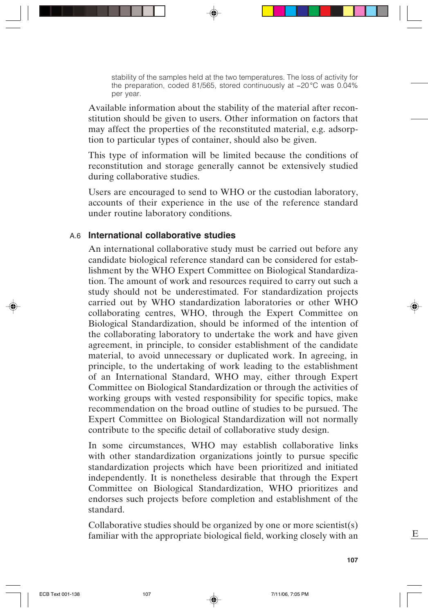stability of the samples held at the two temperatures. The loss of activity for the preparation, coded 81/565, stored continuously at −20°C was 0.04% per year.

Available information about the stability of the material after reconstitution should be given to users. Other information on factors that may affect the properties of the reconstituted material, e.g. adsorption to particular types of container, should also be given.

This type of information will be limited because the conditions of reconstitution and storage generally cannot be extensively studied during collaborative studies.

Users are encouraged to send to WHO or the custodian laboratory, accounts of their experience in the use of the reference standard under routine laboratory conditions.

# A.6 **International collaborative studies**

An international collaborative study must be carried out before any candidate biological reference standard can be considered for establishment by the WHO Expert Committee on Biological Standardization. The amount of work and resources required to carry out such a study should not be underestimated. For standardization projects carried out by WHO standardization laboratories or other WHO collaborating centres, WHO, through the Expert Committee on Biological Standardization, should be informed of the intention of the collaborating laboratory to undertake the work and have given agreement, in principle, to consider establishment of the candidate material, to avoid unnecessary or duplicated work. In agreeing, in principle, to the undertaking of work leading to the establishment of an International Standard, WHO may, either through Expert Committee on Biological Standardization or through the activities of working groups with vested responsibility for specific topics, make recommendation on the broad outline of studies to be pursued. The Expert Committee on Biological Standardization will not normally contribute to the specific detail of collaborative study design.

In some circumstances, WHO may establish collaborative links with other standardization organizations jointly to pursue specific standardization projects which have been prioritized and initiated independently. It is nonetheless desirable that through the Expert Committee on Biological Standardization, WHO prioritizes and endorses such projects before completion and establishment of the standard.

Collaborative studies should be organized by one or more scientist(s) familiar with the appropriate biological field, working closely with an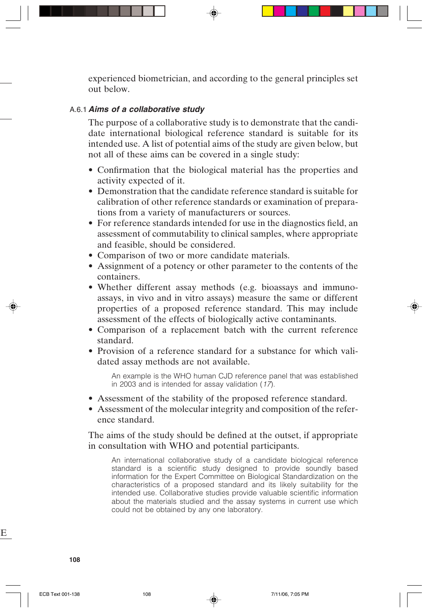experienced biometrician, and according to the general principles set out below.

## A.6.1 **Aims of a collaborative study**

The purpose of a collaborative study is to demonstrate that the candidate international biological reference standard is suitable for its intended use. A list of potential aims of the study are given below, but not all of these aims can be covered in a single study:

- Confirmation that the biological material has the properties and activity expected of it.
- Demonstration that the candidate reference standard is suitable for calibration of other reference standards or examination of preparations from a variety of manufacturers or sources.
- For reference standards intended for use in the diagnostics field, an assessment of commutability to clinical samples, where appropriate and feasible, should be considered.
- Comparison of two or more candidate materials.
- Assignment of a potency or other parameter to the contents of the containers.
- Whether different assay methods (e.g. bioassays and immunoassays, in vivo and in vitro assays) measure the same or different properties of a proposed reference standard. This may include assessment of the effects of biologically active contaminants.
- Comparison of a replacement batch with the current reference standard.
- Provision of a reference standard for a substance for which validated assay methods are not available.

An example is the WHO human CJD reference panel that was established in 2003 and is intended for assay validation (17).

- Assessment of the stability of the proposed reference standard.
- Assessment of the molecular integrity and composition of the reference standard.

The aims of the study should be defined at the outset, if appropriate in consultation with WHO and potential participants.

An international collaborative study of a candidate biological reference standard is a scientific study designed to provide soundly based information for the Expert Committee on Biological Standardization on the characteristics of a proposed standard and its likely suitability for the intended use. Collaborative studies provide valuable scientific information about the materials studied and the assay systems in current use which could not be obtained by any one laboratory.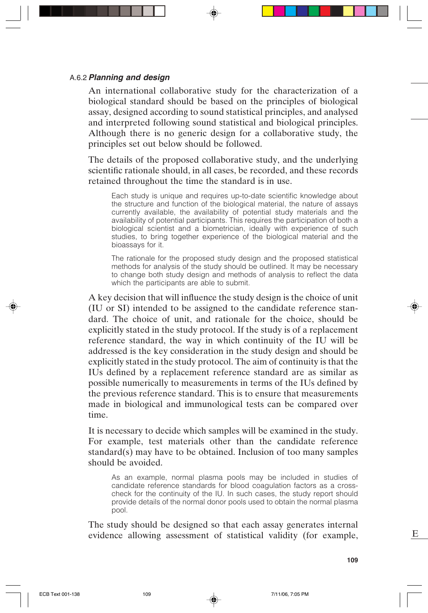#### A.6.2 **Planning and design**

An international collaborative study for the characterization of a biological standard should be based on the principles of biological assay, designed according to sound statistical principles, and analysed and interpreted following sound statistical and biological principles. Although there is no generic design for a collaborative study, the principles set out below should be followed.

The details of the proposed collaborative study, and the underlying scientific rationale should, in all cases, be recorded, and these records retained throughout the time the standard is in use.

Each study is unique and requires up-to-date scientific knowledge about the structure and function of the biological material, the nature of assays currently available, the availability of potential study materials and the availability of potential participants. This requires the participation of both a biological scientist and a biometrician, ideally with experience of such studies, to bring together experience of the biological material and the bioassays for it.

The rationale for the proposed study design and the proposed statistical methods for analysis of the study should be outlined. It may be necessary to change both study design and methods of analysis to reflect the data which the participants are able to submit.

A key decision that will influence the study design is the choice of unit (IU or SI) intended to be assigned to the candidate reference standard. The choice of unit, and rationale for the choice, should be explicitly stated in the study protocol. If the study is of a replacement reference standard, the way in which continuity of the IU will be addressed is the key consideration in the study design and should be explicitly stated in the study protocol. The aim of continuity is that the IUs defined by a replacement reference standard are as similar as possible numerically to measurements in terms of the IUs defined by the previous reference standard. This is to ensure that measurements made in biological and immunological tests can be compared over time.

It is necessary to decide which samples will be examined in the study. For example, test materials other than the candidate reference standard(s) may have to be obtained. Inclusion of too many samples should be avoided.

As an example, normal plasma pools may be included in studies of candidate reference standards for blood coagulation factors as a crosscheck for the continuity of the IU. In such cases, the study report should provide details of the normal donor pools used to obtain the normal plasma pool.

The study should be designed so that each assay generates internal evidence allowing assessment of statistical validity (for example,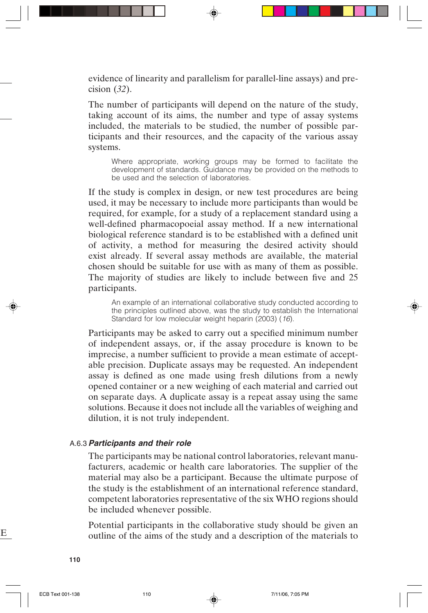evidence of linearity and parallelism for parallel-line assays) and precision (*32*).

The number of participants will depend on the nature of the study, taking account of its aims, the number and type of assay systems included, the materials to be studied, the number of possible participants and their resources, and the capacity of the various assay systems.

Where appropriate, working groups may be formed to facilitate the development of standards. Guidance may be provided on the methods to be used and the selection of laboratories.

If the study is complex in design, or new test procedures are being used, it may be necessary to include more participants than would be required, for example, for a study of a replacement standard using a well-defined pharmacopoeial assay method. If a new international biological reference standard is to be established with a defined unit of activity, a method for measuring the desired activity should exist already. If several assay methods are available, the material chosen should be suitable for use with as many of them as possible. The majority of studies are likely to include between five and 25 participants.

An example of an international collaborative study conducted according to the principles outlined above, was the study to establish the International Standard for low molecular weight heparin (2003) (16).

Participants may be asked to carry out a specified minimum number of independent assays, or, if the assay procedure is known to be imprecise, a number sufficient to provide a mean estimate of acceptable precision. Duplicate assays may be requested. An independent assay is defined as one made using fresh dilutions from a newly opened container or a new weighing of each material and carried out on separate days. A duplicate assay is a repeat assay using the same solutions. Because it does not include all the variables of weighing and dilution, it is not truly independent.

#### A.6.3 **Participants and their role**

The participants may be national control laboratories, relevant manufacturers, academic or health care laboratories. The supplier of the material may also be a participant. Because the ultimate purpose of the study is the establishment of an international reference standard, competent laboratories representative of the six WHO regions should be included whenever possible.

Potential participants in the collaborative study should be given an outline of the aims of the study and a description of the materials to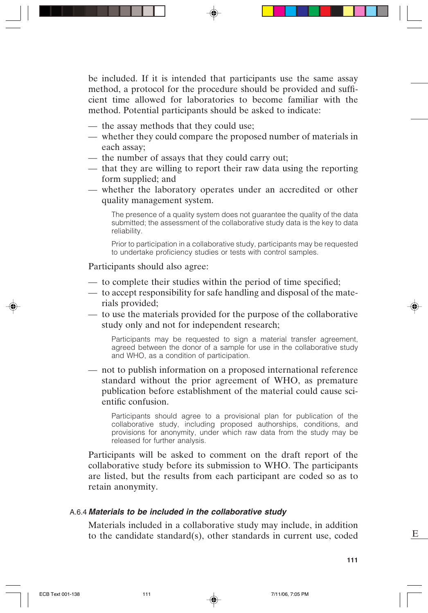be included. If it is intended that participants use the same assay method, a protocol for the procedure should be provided and sufficient time allowed for laboratories to become familiar with the method. Potential participants should be asked to indicate:

- the assay methods that they could use;
- whether they could compare the proposed number of materials in each assay;
- the number of assays that they could carry out;
- that they are willing to report their raw data using the reporting form supplied; and
- whether the laboratory operates under an accredited or other quality management system.

The presence of a quality system does not guarantee the quality of the data submitted; the assessment of the collaborative study data is the key to data reliability.

Prior to participation in a collaborative study, participants may be requested to undertake proficiency studies or tests with control samples.

Participants should also agree:

- to complete their studies within the period of time specified;
- to accept responsibility for safe handling and disposal of the materials provided;
- to use the materials provided for the purpose of the collaborative study only and not for independent research;

Participants may be requested to sign a material transfer agreement, agreed between the donor of a sample for use in the collaborative study and WHO, as a condition of participation.

— not to publish information on a proposed international reference standard without the prior agreement of WHO, as premature publication before establishment of the material could cause scientific confusion.

Participants should agree to a provisional plan for publication of the collaborative study, including proposed authorships, conditions, and provisions for anonymity, under which raw data from the study may be released for further analysis.

Participants will be asked to comment on the draft report of the collaborative study before its submission to WHO. The participants are listed, but the results from each participant are coded so as to retain anonymity.

#### A.6.4 **Materials to be included in the collaborative study**

Materials included in a collaborative study may include, in addition to the candidate standard(s), other standards in current use, coded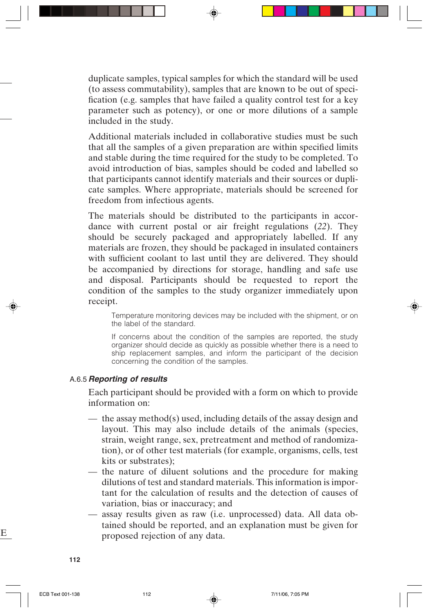duplicate samples, typical samples for which the standard will be used (to assess commutability), samples that are known to be out of specification (e.g. samples that have failed a quality control test for a key parameter such as potency), or one or more dilutions of a sample included in the study.

Additional materials included in collaborative studies must be such that all the samples of a given preparation are within specified limits and stable during the time required for the study to be completed. To avoid introduction of bias, samples should be coded and labelled so that participants cannot identify materials and their sources or duplicate samples. Where appropriate, materials should be screened for freedom from infectious agents.

The materials should be distributed to the participants in accordance with current postal or air freight regulations (*22*). They should be securely packaged and appropriately labelled. If any materials are frozen, they should be packaged in insulated containers with sufficient coolant to last until they are delivered. They should be accompanied by directions for storage, handling and safe use and disposal. Participants should be requested to report the condition of the samples to the study organizer immediately upon receipt.

Temperature monitoring devices may be included with the shipment, or on the label of the standard.

If concerns about the condition of the samples are reported, the study organizer should decide as quickly as possible whether there is a need to ship replacement samples, and inform the participant of the decision concerning the condition of the samples.

## A.6.5 **Reporting of results**

Each participant should be provided with a form on which to provide information on:

- the assay method(s) used, including details of the assay design and layout. This may also include details of the animals (species, strain, weight range, sex, pretreatment and method of randomization), or of other test materials (for example, organisms, cells, test kits or substrates);
- the nature of diluent solutions and the procedure for making dilutions of test and standard materials. This information is important for the calculation of results and the detection of causes of variation, bias or inaccuracy; and
- assay results given as raw (i.e. unprocessed) data. All data obtained should be reported, and an explanation must be given for proposed rejection of any data.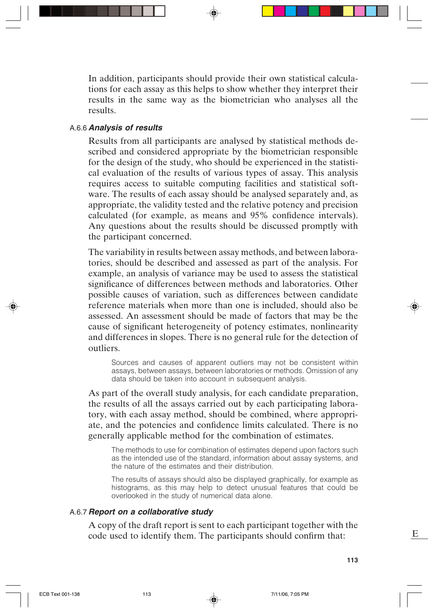In addition, participants should provide their own statistical calculations for each assay as this helps to show whether they interpret their results in the same way as the biometrician who analyses all the results.

### A.6.6 **Analysis of results**

Results from all participants are analysed by statistical methods described and considered appropriate by the biometrician responsible for the design of the study, who should be experienced in the statistical evaluation of the results of various types of assay. This analysis requires access to suitable computing facilities and statistical software. The results of each assay should be analysed separately and, as appropriate, the validity tested and the relative potency and precision calculated (for example, as means and 95% confidence intervals). Any questions about the results should be discussed promptly with the participant concerned.

The variability in results between assay methods, and between laboratories, should be described and assessed as part of the analysis. For example, an analysis of variance may be used to assess the statistical significance of differences between methods and laboratories. Other possible causes of variation, such as differences between candidate reference materials when more than one is included, should also be assessed. An assessment should be made of factors that may be the cause of significant heterogeneity of potency estimates, nonlinearity and differences in slopes. There is no general rule for the detection of outliers.

Sources and causes of apparent outliers may not be consistent within assays, between assays, between laboratories or methods. Omission of any data should be taken into account in subsequent analysis.

As part of the overall study analysis, for each candidate preparation, the results of all the assays carried out by each participating laboratory, with each assay method, should be combined, where appropriate, and the potencies and confidence limits calculated. There is no generally applicable method for the combination of estimates.

The methods to use for combination of estimates depend upon factors such as the intended use of the standard, information about assay systems, and the nature of the estimates and their distribution.

The results of assays should also be displayed graphically, for example as histograms, as this may help to detect unusual features that could be overlooked in the study of numerical data alone.

#### A.6.7 **Report on a collaborative study**

A copy of the draft report is sent to each participant together with the code used to identify them. The participants should confirm that: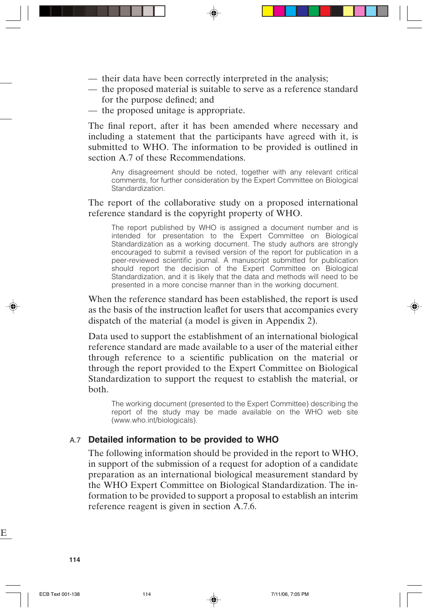- their data have been correctly interpreted in the analysis;
- the proposed material is suitable to serve as a reference standard for the purpose defined; and
- the proposed unitage is appropriate.

The final report, after it has been amended where necessary and including a statement that the participants have agreed with it, is submitted to WHO. The information to be provided is outlined in section A.7 of these Recommendations.

Any disagreement should be noted, together with any relevant critical comments, for further consideration by the Expert Committee on Biological Standardization.

The report of the collaborative study on a proposed international reference standard is the copyright property of WHO.

The report published by WHO is assigned a document number and is intended for presentation to the Expert Committee on Biological Standardization as a working document. The study authors are strongly encouraged to submit a revised version of the report for publication in a peer-reviewed scientific journal. A manuscript submitted for publication should report the decision of the Expert Committee on Biological Standardization, and it is likely that the data and methods will need to be presented in a more concise manner than in the working document.

When the reference standard has been established, the report is used as the basis of the instruction leaflet for users that accompanies every dispatch of the material (a model is given in Appendix 2).

Data used to support the establishment of an international biological reference standard are made available to a user of the material either through reference to a scientific publication on the material or through the report provided to the Expert Committee on Biological Standardization to support the request to establish the material, or both.

The working document (presented to the Expert Committee) describing the report of the study may be made available on the WHO web site (www.who.int/biologicals).

## A.7 **Detailed information to be provided to WHO**

The following information should be provided in the report to WHO, in support of the submission of a request for adoption of a candidate preparation as an international biological measurement standard by the WHO Expert Committee on Biological Standardization. The information to be provided to support a proposal to establish an interim reference reagent is given in section A.7.6.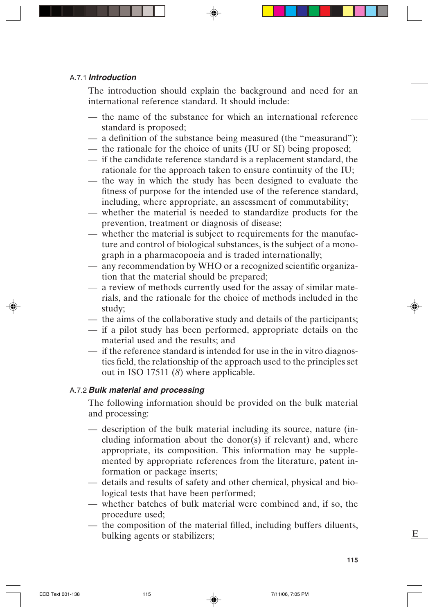## A.7.1 **Introduction**

The introduction should explain the background and need for an international reference standard. It should include:

- the name of the substance for which an international reference standard is proposed;
- a definition of the substance being measured (the "measurand");
- the rationale for the choice of units (IU or SI) being proposed;
- if the candidate reference standard is a replacement standard, the rationale for the approach taken to ensure continuity of the IU;
- the way in which the study has been designed to evaluate the fitness of purpose for the intended use of the reference standard, including, where appropriate, an assessment of commutability;
- whether the material is needed to standardize products for the prevention, treatment or diagnosis of disease;
- whether the material is subject to requirements for the manufacture and control of biological substances, is the subject of a monograph in a pharmacopoeia and is traded internationally;
- any recommendation by WHO or a recognized scientific organization that the material should be prepared;
- a review of methods currently used for the assay of similar materials, and the rationale for the choice of methods included in the study;
- the aims of the collaborative study and details of the participants;
- if a pilot study has been performed, appropriate details on the material used and the results; and
- if the reference standard is intended for use in the in vitro diagnostics field, the relationship of the approach used to the principles set out in ISO 17511 (*8*) where applicable.

## A.7.2 **Bulk material and processing**

The following information should be provided on the bulk material and processing:

- description of the bulk material including its source, nature (including information about the donor(s) if relevant) and, where appropriate, its composition. This information may be supplemented by appropriate references from the literature, patent information or package inserts;
- details and results of safety and other chemical, physical and biological tests that have been performed;
- whether batches of bulk material were combined and, if so, the procedure used;
- the composition of the material filled, including buffers diluents, bulking agents or stabilizers;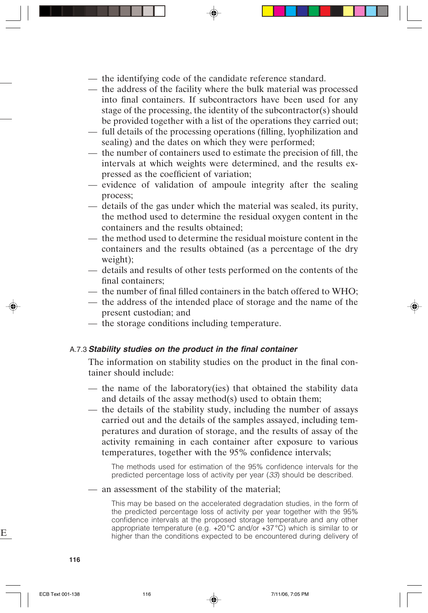- the identifying code of the candidate reference standard.
- the address of the facility where the bulk material was processed into final containers. If subcontractors have been used for any stage of the processing, the identity of the subcontractor(s) should be provided together with a list of the operations they carried out;
- full details of the processing operations (filling, lyophilization and sealing) and the dates on which they were performed;
- the number of containers used to estimate the precision of fill, the intervals at which weights were determined, and the results expressed as the coefficient of variation;
- evidence of validation of ampoule integrity after the sealing process;
- details of the gas under which the material was sealed, its purity, the method used to determine the residual oxygen content in the containers and the results obtained;
- the method used to determine the residual moisture content in the containers and the results obtained (as a percentage of the dry weight);
- details and results of other tests performed on the contents of the final containers;
- the number of final filled containers in the batch offered to WHO;
- the address of the intended place of storage and the name of the present custodian; and
- the storage conditions including temperature.

## A.7.3 **Stability studies on the product in the final container**

The information on stability studies on the product in the final container should include:

- the name of the laboratory(ies) that obtained the stability data and details of the assay method(s) used to obtain them;
- the details of the stability study, including the number of assays carried out and the details of the samples assayed, including temperatures and duration of storage, and the results of assay of the activity remaining in each container after exposure to various temperatures, together with the 95% confidence intervals;

The methods used for estimation of the 95% confidence intervals for the predicted percentage loss of activity per year (33) should be described.

#### — an assessment of the stability of the material;

This may be based on the accelerated degradation studies, in the form of the predicted percentage loss of activity per year together with the 95% confidence intervals at the proposed storage temperature and any other appropriate temperature (e.g. +20°C and/or +37°C) which is similar to or higher than the conditions expected to be encountered during delivery of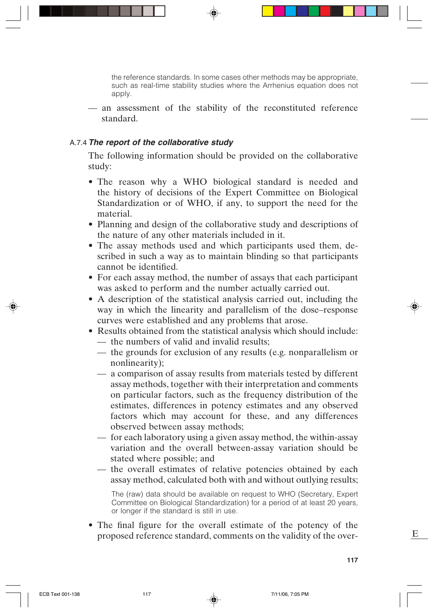the reference standards. In some cases other methods may be appropriate, such as real-time stability studies where the Arrhenius equation does not apply.

— an assessment of the stability of the reconstituted reference standard.

## A.7.4 **The report of the collaborative study**

The following information should be provided on the collaborative study:

- The reason why a WHO biological standard is needed and the history of decisions of the Expert Committee on Biological Standardization or of WHO, if any, to support the need for the material.
- Planning and design of the collaborative study and descriptions of the nature of any other materials included in it.
- The assay methods used and which participants used them, described in such a way as to maintain blinding so that participants cannot be identified.
- For each assay method, the number of assays that each participant was asked to perform and the number actually carried out.
- A description of the statistical analysis carried out, including the way in which the linearity and parallelism of the dose–response curves were established and any problems that arose.
- Results obtained from the statistical analysis which should include:
	- the numbers of valid and invalid results;
	- the grounds for exclusion of any results (e.g. nonparallelism or nonlinearity);
	- a comparison of assay results from materials tested by different assay methods, together with their interpretation and comments on particular factors, such as the frequency distribution of the estimates, differences in potency estimates and any observed factors which may account for these, and any differences observed between assay methods;
	- for each laboratory using a given assay method, the within-assay variation and the overall between-assay variation should be stated where possible; and
	- the overall estimates of relative potencies obtained by each assay method, calculated both with and without outlying results;

The (raw) data should be available on request to WHO (Secretary, Expert Committee on Biological Standardization) for a period of at least 20 years, or longer if the standard is still in use.

• The final figure for the overall estimate of the potency of the proposed reference standard, comments on the validity of the over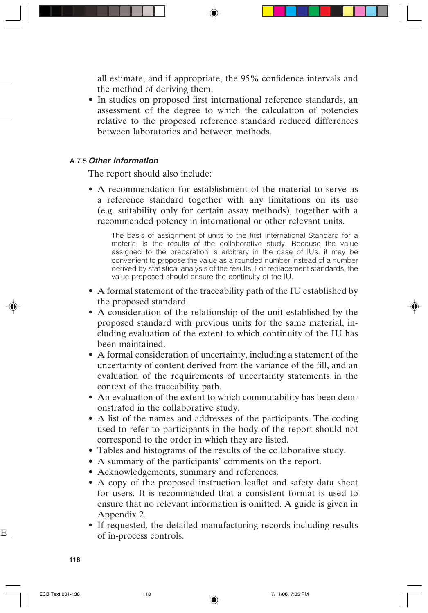all estimate, and if appropriate, the 95% confidence intervals and the method of deriving them.

• In studies on proposed first international reference standards, an assessment of the degree to which the calculation of potencies relative to the proposed reference standard reduced differences between laboratories and between methods.

### A.7.5 **Other information**

The report should also include:

• A recommendation for establishment of the material to serve as a reference standard together with any limitations on its use (e.g. suitability only for certain assay methods), together with a recommended potency in international or other relevant units.

The basis of assignment of units to the first International Standard for a material is the results of the collaborative study. Because the value assigned to the preparation is arbitrary in the case of IUs, it may be convenient to propose the value as a rounded number instead of a number derived by statistical analysis of the results. For replacement standards, the value proposed should ensure the continuity of the IU.

- A formal statement of the traceability path of the IU established by the proposed standard.
- A consideration of the relationship of the unit established by the proposed standard with previous units for the same material, including evaluation of the extent to which continuity of the IU has been maintained.
- A formal consideration of uncertainty, including a statement of the uncertainty of content derived from the variance of the fill, and an evaluation of the requirements of uncertainty statements in the context of the traceability path.
- An evaluation of the extent to which commutability has been demonstrated in the collaborative study.
- A list of the names and addresses of the participants. The coding used to refer to participants in the body of the report should not correspond to the order in which they are listed.
- Tables and histograms of the results of the collaborative study.
- A summary of the participants' comments on the report.
- Acknowledgements, summary and references.
- A copy of the proposed instruction leaflet and safety data sheet for users. It is recommended that a consistent format is used to ensure that no relevant information is omitted. A guide is given in Appendix 2.
- If requested, the detailed manufacturing records including results of in-process controls.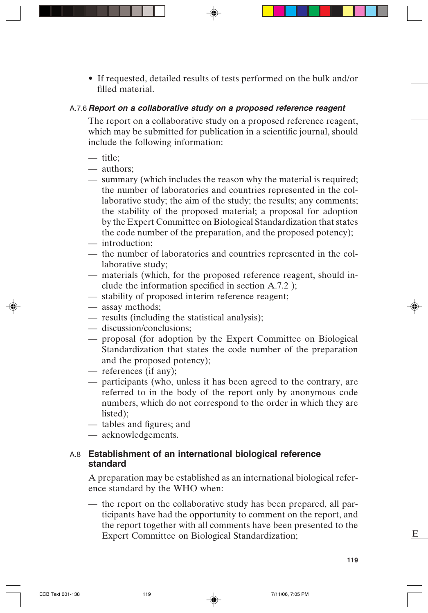• If requested, detailed results of tests performed on the bulk and/or filled material.

## A.7.6 **Report on a collaborative study on a proposed reference reagent**

The report on a collaborative study on a proposed reference reagent, which may be submitted for publication in a scientific journal, should include the following information:

- title;
- authors;
- summary (which includes the reason why the material is required; the number of laboratories and countries represented in the collaborative study; the aim of the study; the results; any comments; the stability of the proposed material; a proposal for adoption by the Expert Committee on Biological Standardization that states the code number of the preparation, and the proposed potency);
- introduction;
- the number of laboratories and countries represented in the collaborative study;
- materials (which, for the proposed reference reagent, should include the information specified in section A.7.2 );
- stability of proposed interim reference reagent;
- assay methods;
- results (including the statistical analysis);
- discussion/conclusions;
- proposal (for adoption by the Expert Committee on Biological Standardization that states the code number of the preparation and the proposed potency);
- references (if any);
- participants (who, unless it has been agreed to the contrary, are referred to in the body of the report only by anonymous code numbers, which do not correspond to the order in which they are listed);
- tables and figures; and
- acknowledgements.

## A.8 **Establishment of an international biological reference standard**

A preparation may be established as an international biological reference standard by the WHO when:

— the report on the collaborative study has been prepared, all participants have had the opportunity to comment on the report, and the report together with all comments have been presented to the Expert Committee on Biological Standardization;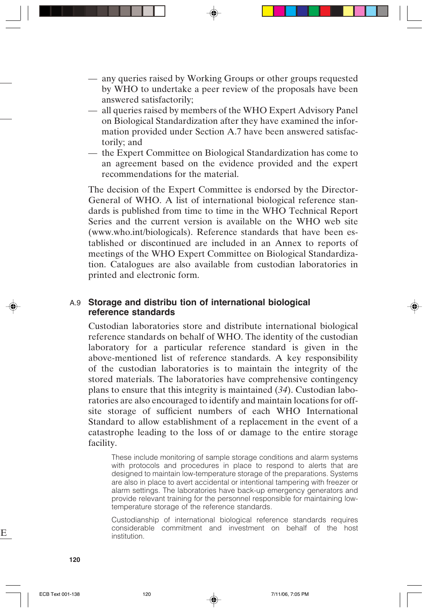- any queries raised by Working Groups or other groups requested by WHO to undertake a peer review of the proposals have been answered satisfactorily;
- all queries raised by members of the WHO Expert Advisory Panel on Biological Standardization after they have examined the information provided under Section A.7 have been answered satisfactorily; and
- the Expert Committee on Biological Standardization has come to an agreement based on the evidence provided and the expert recommendations for the material.

The decision of the Expert Committee is endorsed by the Director-General of WHO. A list of international biological reference standards is published from time to time in the WHO Technical Report Series and the current version is available on the WHO web site (www.who.int/biologicals). Reference standards that have been established or discontinued are included in an Annex to reports of meetings of the WHO Expert Committee on Biological Standardization. Catalogues are also available from custodian laboratories in printed and electronic form.

## A.9 **Storage and distribu tion of international biological reference standards**

Custodian laboratories store and distribute international biological reference standards on behalf of WHO. The identity of the custodian laboratory for a particular reference standard is given in the above-mentioned list of reference standards. A key responsibility of the custodian laboratories is to maintain the integrity of the stored materials. The laboratories have comprehensive contingency plans to ensure that this integrity is maintained (*34*). Custodian laboratories are also encouraged to identify and maintain locations for offsite storage of sufficient numbers of each WHO International Standard to allow establishment of a replacement in the event of a catastrophe leading to the loss of or damage to the entire storage facility.

These include monitoring of sample storage conditions and alarm systems with protocols and procedures in place to respond to alerts that are designed to maintain low-temperature storage of the preparations. Systems are also in place to avert accidental or intentional tampering with freezer or alarm settings. The laboratories have back-up emergency generators and provide relevant training for the personnel responsible for maintaining lowtemperature storage of the reference standards.

Custodianship of international biological reference standards requires considerable commitment and investment on behalf of the host institution.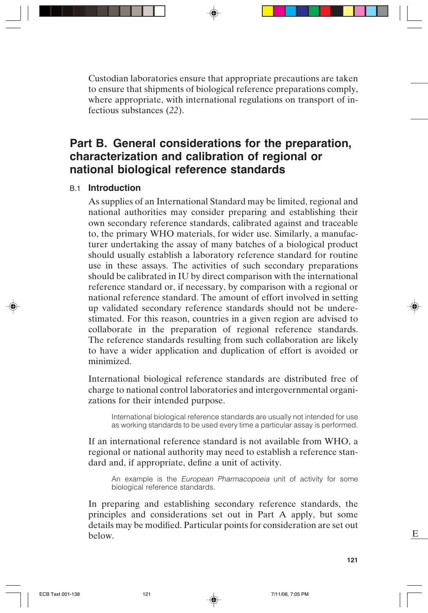Custodian laboratories ensure that appropriate precautions are taken to ensure that shipments of biological reference preparations comply, where appropriate, with international regulations on transport of infectious substances (*22*).

# **Part B. General considerations for the preparation, characterization and calibration of regional or national biological reference standards**

## B.1 **Introduction**

As supplies of an International Standard may be limited, regional and national authorities may consider preparing and establishing their own secondary reference standards, calibrated against and traceable to, the primary WHO materials, for wider use. Similarly, a manufacturer undertaking the assay of many batches of a biological product should usually establish a laboratory reference standard for routine use in these assays. The activities of such secondary preparations should be calibrated in IU by direct comparison with the international reference standard or, if necessary, by comparison with a regional or national reference standard. The amount of effort involved in setting up validated secondary reference standards should not be underestimated. For this reason, countries in a given region are advised to collaborate in the preparation of regional reference standards. The reference standards resulting from such collaboration are likely to have a wider application and duplication of effort is avoided or minimized.

International biological reference standards are distributed free of charge to national control laboratories and intergovernmental organizations for their intended purpose.

International biological reference standards are usually not intended for use as working standards to be used every time a particular assay is performed.

If an international reference standard is not available from WHO, a regional or national authority may need to establish a reference standard and, if appropriate, define a unit of activity.

An example is the European Pharmacopoeia unit of activity for some biological reference standards.

In preparing and establishing secondary reference standards, the principles and considerations set out in Part A apply, but some details may be modified. Particular points for consideration are set out below.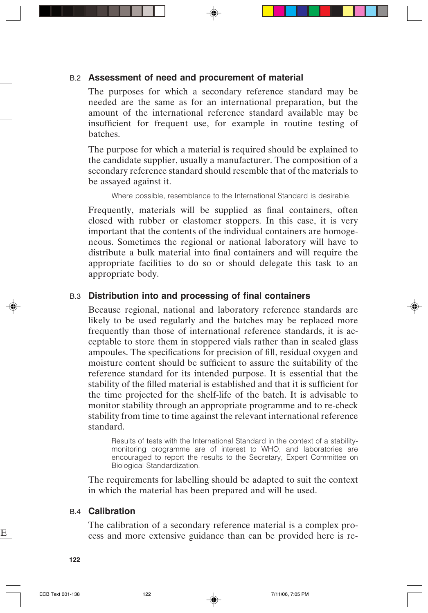## B.2 **Assessment of need and procurement of material**

The purposes for which a secondary reference standard may be needed are the same as for an international preparation, but the amount of the international reference standard available may be insufficient for frequent use, for example in routine testing of batches.

The purpose for which a material is required should be explained to the candidate supplier, usually a manufacturer. The composition of a secondary reference standard should resemble that of the materials to be assayed against it.

Where possible, resemblance to the International Standard is desirable.

Frequently, materials will be supplied as final containers, often closed with rubber or elastomer stoppers. In this case, it is very important that the contents of the individual containers are homogeneous. Sometimes the regional or national laboratory will have to distribute a bulk material into final containers and will require the appropriate facilities to do so or should delegate this task to an appropriate body.

## B.3 **Distribution into and processing of final containers**

Because regional, national and laboratory reference standards are likely to be used regularly and the batches may be replaced more frequently than those of international reference standards, it is acceptable to store them in stoppered vials rather than in sealed glass ampoules. The specifications for precision of fill, residual oxygen and moisture content should be sufficient to assure the suitability of the reference standard for its intended purpose. It is essential that the stability of the filled material is established and that it is sufficient for the time projected for the shelf-life of the batch. It is advisable to monitor stability through an appropriate programme and to re-check stability from time to time against the relevant international reference standard.

Results of tests with the International Standard in the context of a stabilitymonitoring programme are of interest to WHO, and laboratories are encouraged to report the results to the Secretary, Expert Committee on Biological Standardization.

The requirements for labelling should be adapted to suit the context in which the material has been prepared and will be used.

#### B.4 **Calibration**

The calibration of a secondary reference material is a complex process and more extensive guidance than can be provided here is re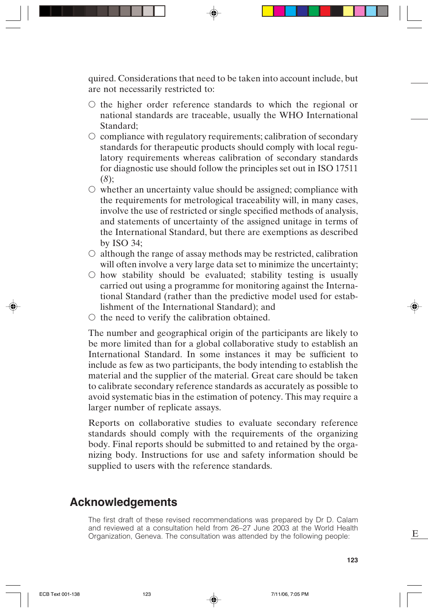quired. Considerations that need to be taken into account include, but are not necessarily restricted to:

- the higher order reference standards to which the regional or national standards are traceable, usually the WHO International Standard;
- compliance with regulatory requirements; calibration of secondary standards for therapeutic products should comply with local regulatory requirements whereas calibration of secondary standards for diagnostic use should follow the principles set out in ISO 17511 (*8*);
- whether an uncertainty value should be assigned; compliance with the requirements for metrological traceability will, in many cases, involve the use of restricted or single specified methods of analysis, and statements of uncertainty of the assigned unitage in terms of the International Standard, but there are exemptions as described by ISO 34;
- although the range of assay methods may be restricted, calibration will often involve a very large data set to minimize the uncertainty;
- how stability should be evaluated; stability testing is usually carried out using a programme for monitoring against the International Standard (rather than the predictive model used for establishment of the International Standard); and
- $\circlearrowright$  the need to verify the calibration obtained.

The number and geographical origin of the participants are likely to be more limited than for a global collaborative study to establish an International Standard. In some instances it may be sufficient to include as few as two participants, the body intending to establish the material and the supplier of the material. Great care should be taken to calibrate secondary reference standards as accurately as possible to avoid systematic bias in the estimation of potency. This may require a larger number of replicate assays.

Reports on collaborative studies to evaluate secondary reference standards should comply with the requirements of the organizing body. Final reports should be submitted to and retained by the organizing body. Instructions for use and safety information should be supplied to users with the reference standards.

# **Acknowledgements**

The first draft of these revised recommendations was prepared by Dr D. Calam and reviewed at a consultation held from 26–27 June 2003 at the World Health Organization, Geneva. The consultation was attended by the following people: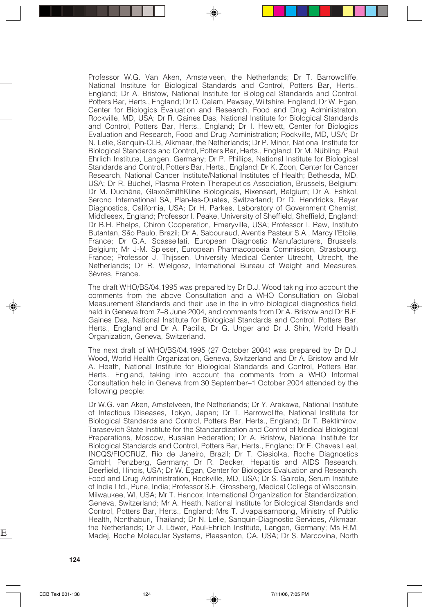Professor W.G. Van Aken, Amstelveen, the Netherlands; Dr T. Barrowcliffe, National Institute for Biological Standards and Control, Potters Bar, Herts., England; Dr A. Bristow, National Institute for Biological Standards and Control, Potters Bar, Herts., England; Dr D. Calam, Pewsey, Wiltshire, England; Dr W. Egan, Center for Biologics Evaluation and Research, Food and Drug Administraton, Rockville, MD, USA; Dr R. Gaines Das, National Institute for Biological Standards and Control, Potters Bar, Herts., England; Dr I. Hewlett, Center for Biologics Evaluation and Research, Food and Drug Administration; Rockville, MD, USA; Dr N. Lelie, Sanquin-CLB, Alkmaar, the Netherlands; Dr P. Minor, National Institute for Biological Standards and Control, Potters Bar, Herts., England; Dr M. Nübling, Paul Ehrlich Institute, Langen, Germany; Dr P. Phillips, National Institute for Biological Standards and Control, Potters Bar, Herts., England; Dr K. Zoon, Center for Cancer Research, National Cancer Institute/National Institutes of Health; Bethesda, MD, USA; Dr R. Büchel, Plasma Protein Therapeutics Association, Brussels, Belgium; Dr M. Duchêne, GlaxoSmithKline Biologicals, Rixensart, Belgium; Dr A. Eshkol, Serono International SA, Plan-les-Ouates, Switzerland; Dr D. Hendricks, Bayer Diagnostics, California, USA; Dr H. Parkes, Laboratory of Government Chemist, Middlesex, England; Professor I. Peake, University of Sheffield, Sheffield, England; Dr B.H. Phelps, Chiron Cooperation, Emeryville, USA; Professor I. Raw, Instituto Butantan, São Paulo, Brazil; Dr A. Sabouraud, Aventis Pasteur S.A., Marcy l'Etoile, France; Dr G.A. Scassellati, European Diagnostic Manufacturers, Brussels, Belgium; Mr J-M. Spieser, European Pharmacopoeia Commission, Strasbourg, France; Professor J. Thijssen, University Medical Center Utrecht, Utrecht, the Netherlands; Dr R. Wielgosz, International Bureau of Weight and Measures, Sèvres, France.

The draft WHO/BS/04.1995 was prepared by Dr D.J. Wood taking into account the comments from the above Consultation and a WHO Consultation on Global Measurement Standards and their use in the in vitro biological diagnostics field, held in Geneva from 7–8 June 2004, and comments from Dr A. Bristow and Dr R.E. Gaines Das, National Institute for Biological Standards and Control, Potters Bar, Herts., England and Dr A. Padilla, Dr G. Unger and Dr J. Shin, World Health Organization, Geneva, Switzerland.

The next draft of WHO/BS/04.1995 (27 October 2004) was prepared by Dr D.J. Wood, World Health Organization, Geneva, Switzerland and Dr A. Bristow and Mr A. Heath, National Institute for Biological Standards and Control, Potters Bar, Herts., England, taking into account the comments from a WHO Informal Consultation held in Geneva from 30 September–1 October 2004 attended by the following people:

Dr W.G. van Aken, Amstelveen, the Netherlands; Dr Y. Arakawa, National Institute of Infectious Diseases, Tokyo, Japan; Dr T. Barrowcliffe, National Institute for Biological Standards and Control, Potters Bar, Herts., England; Dr T. Bektimirov, Tarasevich State Institute for the Standardization and Control of Medical Biological Preparations, Moscow, Russian Federation; Dr A. Bristow, National Institute for Biological Standards and Control, Potters Bar, Herts., England; Dr E. Chaves Leal, INCQS/FIOCRUZ, Rio de Janeiro, Brazil; Dr T. Ciesiolka, Roche Diagnostics GmbH, Penzberg, Germany; Dr R. Decker, Hepatitis and AIDS Research, Deerfield, Illinois, USA; Dr W. Egan, Center for Biologics Evaluation and Research, Food and Drug Administration, Rockville, MD, USA; Dr S. Gairola, Serum Institute of India Ltd., Pune, India; Professor S.E. Grossberg, Medical College of Wisconsin, Milwaukee, WI, USA; Mr T. Hancox, International Organization for Standardization, Geneva, Switzerland; Mr A. Heath, National Institute for Biological Standards and Control, Potters Bar, Herts., England; Mrs T. Jivapaisarnpong, Ministry of Public Health, Nonthaburi, Thailand; Dr N. Lelie, Sanquin-Diagnostic Services, Alkmaar, the Netherlands; Dr J. Löwer, Paul-Ehrlich Institute, Langen, Germany; Ms R.M. Madej, Roche Molecular Systems, Pleasanton, CA, USA; Dr S. Marcovina, North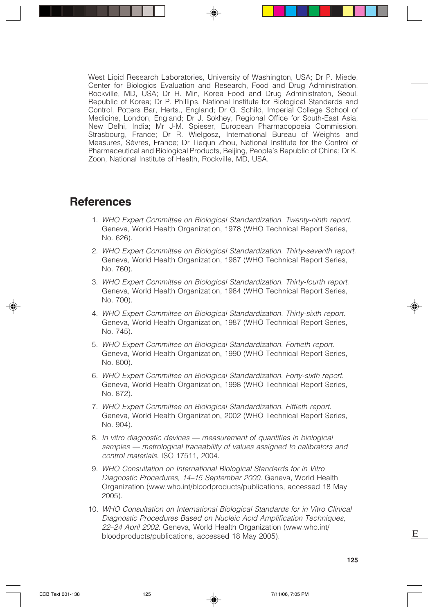West Lipid Research Laboratories, University of Washington, USA; Dr P. Miede, Center for Biologics Evaluation and Research, Food and Drug Administration, Rockville, MD, USA; Dr H. Min, Korea Food and Drug Administraton, Seoul, Republic of Korea; Dr P. Phillips, National Institute for Biological Standards and Control, Potters Bar, Herts., England; Dr G. Schild, Imperial College School of Medicine, London, England; Dr J. Sokhey, Regional Office for South-East Asia, New Delhi, India; Mr J-M. Spieser, European Pharmacopoeia Commission, Strasbourg, France; Dr R. Wielgosz, International Bureau of Weights and Measures, Sèvres, France; Dr Tiequn Zhou, National Institute for the Control of Pharmaceutical and Biological Products, Beijing, People's Republic of China; Dr K. Zoon, National Institute of Health, Rockville, MD, USA.

# **References**

- 1. WHO Expert Committee on Biological Standardization. Twenty-ninth report. Geneva, World Health Organization, 1978 (WHO Technical Report Series, No. 626).
- 2. WHO Expert Committee on Biological Standardization. Thirty-seventh report. Geneva, World Health Organization, 1987 (WHO Technical Report Series, No. 760).
- 3. WHO Expert Committee on Biological Standardization. Thirty-fourth report. Geneva, World Health Organization, 1984 (WHO Technical Report Series, No. 700).
- 4. WHO Expert Committee on Biological Standardization. Thirty-sixth report. Geneva, World Health Organization, 1987 (WHO Technical Report Series, No. 745).
- 5. WHO Expert Committee on Biological Standardization. Fortieth report. Geneva, World Health Organization, 1990 (WHO Technical Report Series, No. 800).
- 6. WHO Expert Committee on Biological Standardization. Forty-sixth report. Geneva, World Health Organization, 1998 (WHO Technical Report Series, No. 872).
- 7. WHO Expert Committee on Biological Standardization. Fiftieth report. Geneva, World Health Organization, 2002 (WHO Technical Report Series, No. 904).
- 8. In vitro diagnostic devices measurement of quantities in biological samples — metrological traceability of values assigned to calibrators and control materials. ISO 17511, 2004.
- 9. WHO Consultation on International Biological Standards for in Vitro Diagnostic Procedures, 14–15 September 2000. Geneva, World Health Organization (www.who.int/bloodproducts/publications, accessed 18 May 2005).
- 10. WHO Consultation on International Biological Standards for in Vitro Clinical Diagnostic Procedures Based on Nucleic Acid Amplification Techniques, 22–24 April 2002. Geneva, World Health Organization (www.who.int/ bloodproducts/publications, accessed 18 May 2005).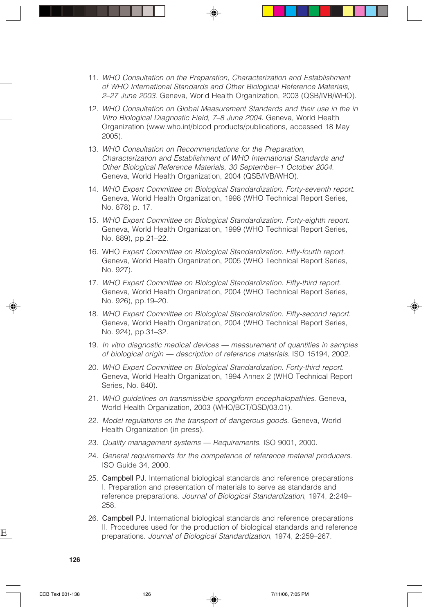- 11. WHO Consultation on the Preparation, Characterization and Establishment of WHO International Standards and Other Biological Reference Materials, 2–27 June 2003. Geneva, World Health Organization, 2003 (QSB/IVB/WHO).
- 12. WHO Consultation on Global Measurement Standards and their use in the in Vitro Biological Diagnostic Field, 7–8 June 2004. Geneva, World Health Organization (www.who.int/blood products/publications, accessed 18 May 2005).
- 13. WHO Consultation on Recommendations for the Preparation, Characterization and Establishment of WHO International Standards and Other Biological Reference Materials, 30 September–1 October 2004. Geneva, World Health Organization, 2004 (QSB/IVB/WHO).
- 14. WHO Expert Committee on Biological Standardization. Forty-seventh report. Geneva, World Health Organization, 1998 (WHO Technical Report Series, No. 878) p. 17.
- 15. WHO Expert Committee on Biological Standardization. Forty-eighth report. Geneva, World Health Organization, 1999 (WHO Technical Report Series, No. 889), pp.21–22.
- 16. WHO Expert Committee on Biological Standardization. Fifty-fourth report. Geneva, World Health Organization, 2005 (WHO Technical Report Series, No. 927).
- 17. WHO Expert Committee on Biological Standardization. Fifty-third report. Geneva, World Health Organization, 2004 (WHO Technical Report Series, No. 926), pp.19–20.
- 18. WHO Expert Committee on Biological Standardization. Fifty-second report. Geneva, World Health Organization, 2004 (WHO Technical Report Series, No. 924), pp.31–32.
- 19. In vitro diagnostic medical devices measurement of quantities in samples of biological origin — description of reference materials. ISO 15194, 2002.
- 20. WHO Expert Committee on Biological Standardization. Forty-third report. Geneva, World Health Organization, 1994 Annex 2 (WHO Technical Report Series, No. 840).
- 21. WHO guidelines on transmissible spongiform encephalopathies. Geneva, World Health Organization, 2003 (WHO/BCT/QSD/03.01).
- 22. Model regulations on the transport of dangerous goods. Geneva, World Health Organization (in press).
- 23. Quality management systems Requirements. ISO 9001, 2000.
- 24. General requirements for the competence of reference material producers. ISO Guide 34, 2000.
- 25. Campbell PJ. International biological standards and reference preparations I. Preparation and presentation of materials to serve as standards and reference preparations. Journal of Biological Standardization, 1974, 2:249– 258.
- 26. Campbell PJ. International biological standards and reference preparations II. Procedures used for the production of biological standards and reference preparations. Journal of Biological Standardization, 1974, 2:259–267.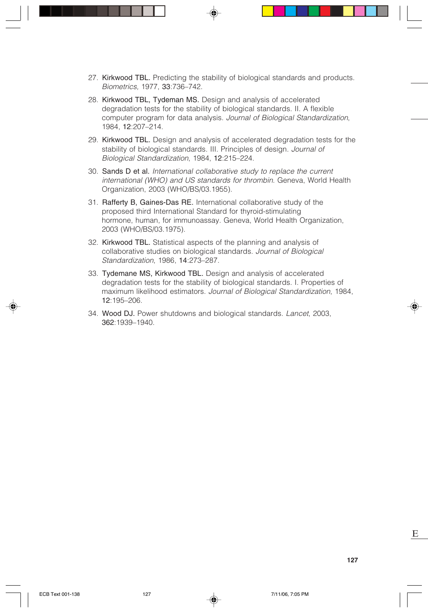- 27. Kirkwood TBL. Predicting the stability of biological standards and products. Biometrics, 1977, 33:736–742.
- 28. Kirkwood TBL, Tydeman MS. Design and analysis of accelerated degradation tests for the stability of biological standards. II. A flexible computer program for data analysis. Journal of Biological Standardization, 1984, 12:207–214.
- 29. Kirkwood TBL. Design and analysis of accelerated degradation tests for the stability of biological standards. III. Principles of design. Journal of Biological Standardization, 1984, 12:215–224.
- 30. Sands D et al. International collaborative study to replace the current international (WHO) and US standards for thrombin. Geneva, World Health Organization, 2003 (WHO/BS/03.1955).
- 31. Rafferty B, Gaines-Das RE. International collaborative study of the proposed third International Standard for thyroid-stimulating hormone, human, for immunoassay. Geneva, World Health Organization, 2003 (WHO/BS/03.1975).
- 32. Kirkwood TBL. Statistical aspects of the planning and analysis of collaborative studies on biological standards. Journal of Biological Standardization, 1986, 14:273–287.
- 33. Tydemane MS, Kirkwood TBL. Design and analysis of accelerated degradation tests for the stability of biological standards. I. Properties of maximum likelihood estimators. Journal of Biological Standardization, 1984, 12:195–206.
- 34. Wood DJ. Power shutdowns and biological standards. Lancet, 2003, 362:1939–1940.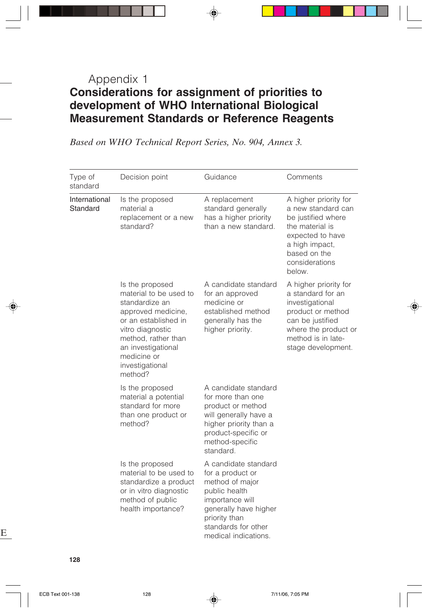# Appendix 1 **Considerations for assignment of priorities to development of WHO International Biological Measurement Standards or Reference Reagents**

| Type of<br>standard       | Decision point                                                                                                                                                                                                          | Guidance                                                                                                                                                                                 | Comments                                                                                                                                                                   |
|---------------------------|-------------------------------------------------------------------------------------------------------------------------------------------------------------------------------------------------------------------------|------------------------------------------------------------------------------------------------------------------------------------------------------------------------------------------|----------------------------------------------------------------------------------------------------------------------------------------------------------------------------|
| International<br>Standard | Is the proposed<br>material a<br>replacement or a new<br>standard?                                                                                                                                                      | A replacement<br>standard generally<br>has a higher priority<br>than a new standard.                                                                                                     | A higher priority for<br>a new standard can<br>be justified where<br>the material is<br>expected to have<br>a high impact,<br>based on the<br>considerations<br>below.     |
|                           | Is the proposed<br>material to be used to<br>standardize an<br>approved medicine,<br>or an established in<br>vitro diagnostic<br>method, rather than<br>an investigational<br>medicine or<br>investigational<br>method? | A candidate standard<br>for an approved<br>medicine or<br>established method<br>generally has the<br>higher priority.                                                                    | A higher priority for<br>a standard for an<br>investigational<br>product or method<br>can be justified<br>where the product or<br>method is in late-<br>stage development. |
|                           | Is the proposed<br>material a potential<br>standard for more<br>than one product or<br>method?                                                                                                                          | A candidate standard<br>for more than one<br>product or method<br>will generally have a<br>higher priority than a<br>product-specific or<br>method-specific<br>standard.                 |                                                                                                                                                                            |
|                           | Is the proposed<br>material to be used to<br>standardize a product<br>or in vitro diagnostic<br>method of public<br>health importance?                                                                                  | A candidate standard<br>for a product or<br>method of major<br>public health<br>importance will<br>generally have higher<br>priority than<br>standards for other<br>medical indications. |                                                                                                                                                                            |

*Based on WHO Technical Report Series, No. 904, Annex 3.*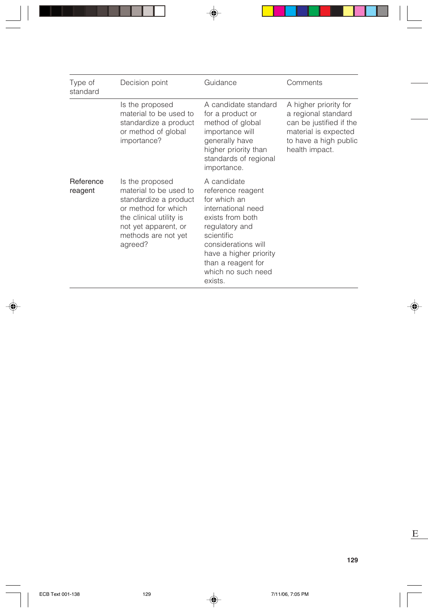| Type of<br>standard  | Decision point                                                                                                                                                                 | Guidance                                                                                                                                                                                                                           | Comments                                                                                                                                   |
|----------------------|--------------------------------------------------------------------------------------------------------------------------------------------------------------------------------|------------------------------------------------------------------------------------------------------------------------------------------------------------------------------------------------------------------------------------|--------------------------------------------------------------------------------------------------------------------------------------------|
|                      | Is the proposed<br>material to be used to<br>standardize a product<br>or method of global<br>importance?                                                                       | A candidate standard<br>for a product or<br>method of global<br>importance will<br>generally have<br>higher priority than<br>standards of regional<br>importance.                                                                  | A higher priority for<br>a regional standard<br>can be justified if the<br>material is expected<br>to have a high public<br>health impact. |
| Reference<br>reagent | Is the proposed<br>material to be used to<br>standardize a product<br>or method for which<br>the clinical utility is<br>not yet apparent, or<br>methods are not yet<br>agreed? | A candidate<br>reference reagent<br>for which an<br>international need<br>exists from both<br>regulatory and<br>scientific<br>considerations will<br>have a higher priority<br>than a reagent for<br>which no such need<br>exists. |                                                                                                                                            |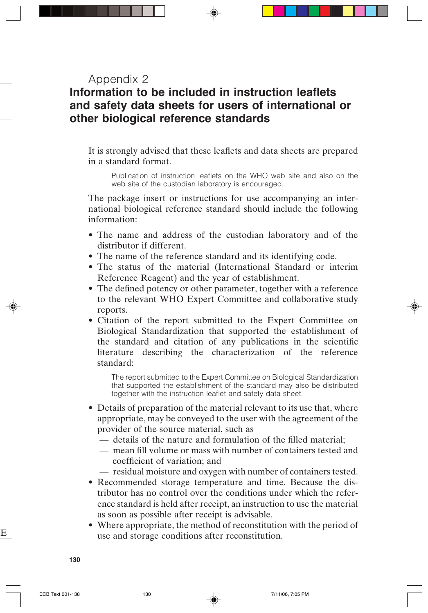# Appendix 2

# **Information to be included in instruction leaflets and safety data sheets for users of international or other biological reference standards**

It is strongly advised that these leaflets and data sheets are prepared in a standard format.

Publication of instruction leaflets on the WHO web site and also on the web site of the custodian laboratory is encouraged.

The package insert or instructions for use accompanying an international biological reference standard should include the following information:

- The name and address of the custodian laboratory and of the distributor if different.
- The name of the reference standard and its identifying code.
- The status of the material (International Standard or interim Reference Reagent) and the year of establishment.
- The defined potency or other parameter, together with a reference to the relevant WHO Expert Committee and collaborative study reports.
- Citation of the report submitted to the Expert Committee on Biological Standardization that supported the establishment of the standard and citation of any publications in the scientific literature describing the characterization of the reference standard:

The report submitted to the Expert Committee on Biological Standardization that supported the establishment of the standard may also be distributed together with the instruction leaflet and safety data sheet.

- Details of preparation of the material relevant to its use that, where appropriate, may be conveyed to the user with the agreement of the provider of the source material, such as
	- details of the nature and formulation of the filled material;
	- mean fill volume or mass with number of containers tested and coefficient of variation; and
	- residual moisture and oxygen with number of containers tested.
- Recommended storage temperature and time. Because the distributor has no control over the conditions under which the reference standard is held after receipt, an instruction to use the material as soon as possible after receipt is advisable.
- Where appropriate, the method of reconstitution with the period of use and storage conditions after reconstitution.